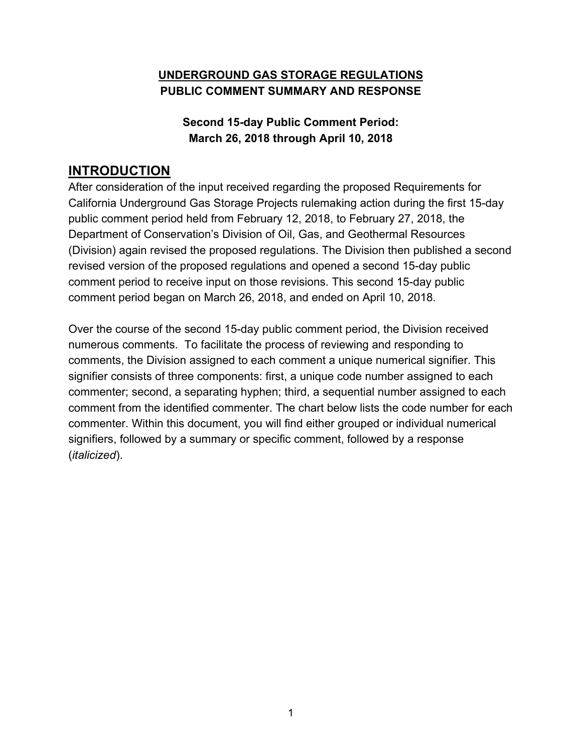## **UNDERGROUND GAS STORAGE REGULATIONS PUBLIC COMMENT SUMMARY AND RESPONSE**

## **Second 15-day Public Comment Period: March 26, 2018 through April 10, 2018**

## **INTRODUCTION**

After consideration of the input received regarding the proposed Requirements for California Underground Gas Storage Projects rulemaking action during the first 15-day public comment period held from February 12, 2018, to February 27, 2018, the Department of Conservation's Division of Oil, Gas, and Geothermal Resources (Division) again revised the proposed regulations. The Division then published a second revised version of the proposed regulations and opened a second 15-day public comment period to receive input on those revisions. This second 15-day public comment period began on March 26, 2018, and ended on April 10, 2018.

Over the course of the second 15-day public comment period, the Division received numerous comments. To facilitate the process of reviewing and responding to comments, the Division assigned to each comment a unique numerical signifier. This signifier consists of three components: first, a unique code number assigned to each commenter; second, a separating hyphen; third, a sequential number assigned to each comment from the identified commenter. The chart below lists the code number for each commenter. Within this document, you will find either grouped or individual numerical signifiers, followed by a summary or specific comment, followed by a response (*italicized*).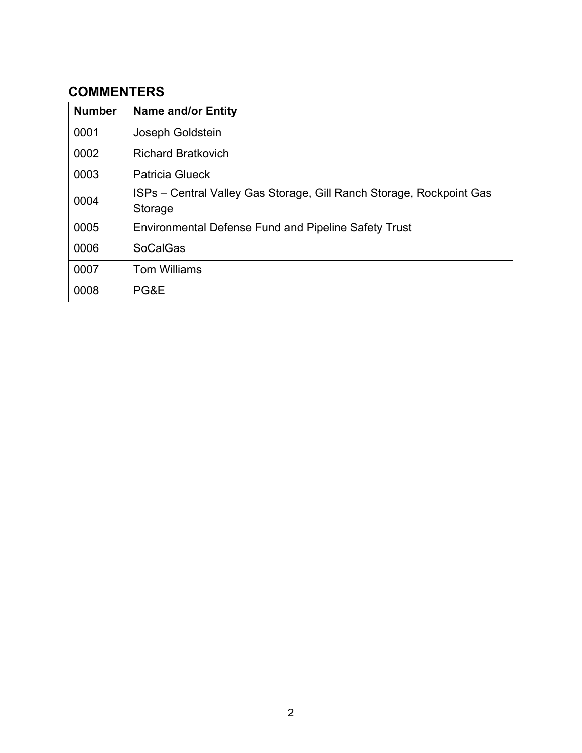# **COMMENTERS**

| <b>Number</b> | <b>Name and/or Entity</b>                                                       |
|---------------|---------------------------------------------------------------------------------|
| 0001          | Joseph Goldstein                                                                |
| 0002          | <b>Richard Bratkovich</b>                                                       |
| 0003          | <b>Patricia Glueck</b>                                                          |
| 0004          | ISPs – Central Valley Gas Storage, Gill Ranch Storage, Rockpoint Gas<br>Storage |
| 0005          | <b>Environmental Defense Fund and Pipeline Safety Trust</b>                     |
| 0006          | <b>SoCalGas</b>                                                                 |
| 0007          | <b>Tom Williams</b>                                                             |
| 0008          | PG&E                                                                            |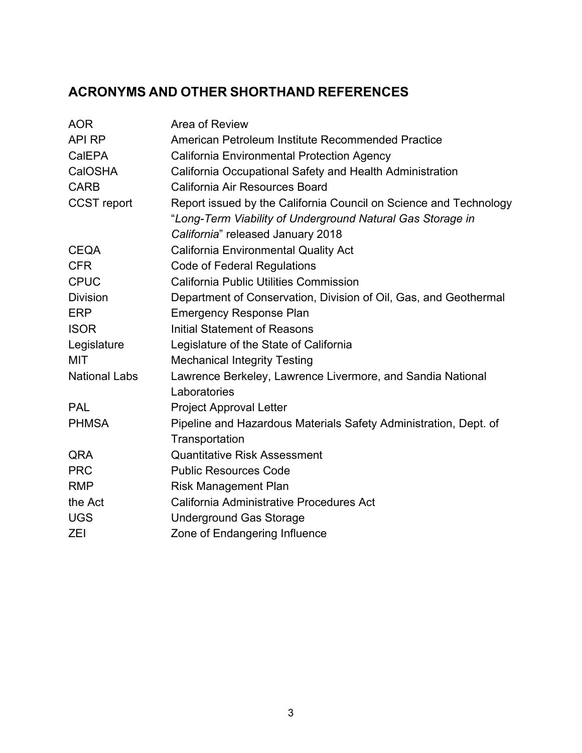# **ACRONYMS AND OTHER SHORTHAND REFERENCES**

| <b>AOR</b>           | Area of Review                                                    |
|----------------------|-------------------------------------------------------------------|
| <b>API RP</b>        | American Petroleum Institute Recommended Practice                 |
| CalEPA               | <b>California Environmental Protection Agency</b>                 |
| CalOSHA              | California Occupational Safety and Health Administration          |
| <b>CARB</b>          | California Air Resources Board                                    |
| <b>CCST</b> report   | Report issued by the California Council on Science and Technology |
|                      | "Long-Term Viability of Underground Natural Gas Storage in        |
|                      | California" released January 2018                                 |
| <b>CEQA</b>          | <b>California Environmental Quality Act</b>                       |
| <b>CFR</b>           | <b>Code of Federal Regulations</b>                                |
| <b>CPUC</b>          | <b>California Public Utilities Commission</b>                     |
| <b>Division</b>      | Department of Conservation, Division of Oil, Gas, and Geothermal  |
| <b>ERP</b>           | <b>Emergency Response Plan</b>                                    |
| <b>ISOR</b>          | Initial Statement of Reasons                                      |
| Legislature          | Legislature of the State of California                            |
| MIT                  | <b>Mechanical Integrity Testing</b>                               |
| <b>National Labs</b> | Lawrence Berkeley, Lawrence Livermore, and Sandia National        |
|                      | Laboratories                                                      |
| <b>PAL</b>           | <b>Project Approval Letter</b>                                    |
| <b>PHMSA</b>         | Pipeline and Hazardous Materials Safety Administration, Dept. of  |
|                      | Transportation                                                    |
| QRA                  | <b>Quantitative Risk Assessment</b>                               |
| <b>PRC</b>           | <b>Public Resources Code</b>                                      |
| <b>RMP</b>           | <b>Risk Management Plan</b>                                       |
| the Act              | California Administrative Procedures Act                          |
| <b>UGS</b>           | <b>Underground Gas Storage</b>                                    |
| <b>ZEI</b>           | Zone of Endangering Influence                                     |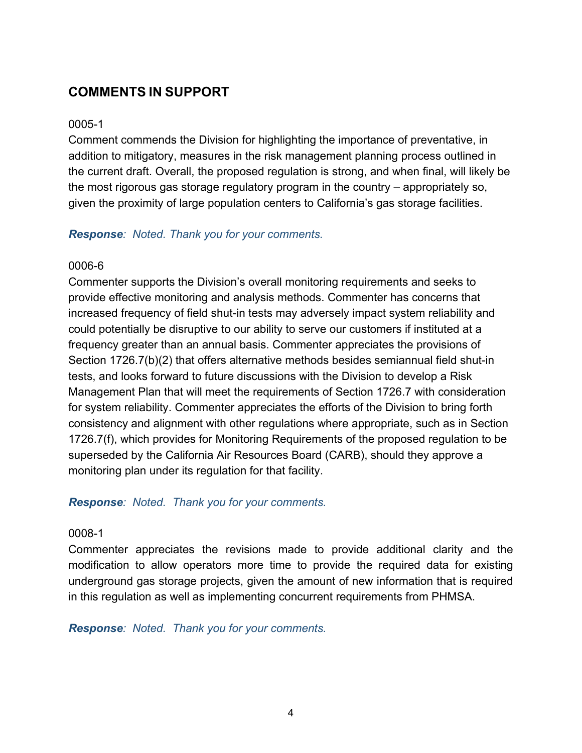## **COMMENTS IN SUPPORT**

#### 0005-1

Comment commends the Division for highlighting the importance of preventative, in addition to mitigatory, measures in the risk management planning process outlined in the current draft. Overall, the proposed regulation is strong, and when final, will likely be the most rigorous gas storage regulatory program in the country – appropriately so, given the proximity of large population centers to California's gas storage facilities.

#### *Response: Noted. Thank you for your comments.*

#### 0006-6

Commenter supports the Division's overall monitoring requirements and seeks to provide effective monitoring and analysis methods. Commenter has concerns that increased frequency of field shut-in tests may adversely impact system reliability and could potentially be disruptive to our ability to serve our customers if instituted at a frequency greater than an annual basis. Commenter appreciates the provisions of Section 1726.7(b)(2) that offers alternative methods besides semiannual field shut-in tests, and looks forward to future discussions with the Division to develop a Risk Management Plan that will meet the requirements of Section 1726.7 with consideration for system reliability. Commenter appreciates the efforts of the Division to bring forth consistency and alignment with other regulations where appropriate, such as in Section 1726.7(f), which provides for Monitoring Requirements of the proposed regulation to be superseded by the California Air Resources Board (CARB), should they approve a monitoring plan under its regulation for that facility.

#### *Response: Noted. Thank you for your comments.*

## 0008-1

Commenter appreciates the revisions made to provide additional clarity and the modification to allow operators more time to provide the required data for existing underground gas storage projects, given the amount of new information that is required in this regulation as well as implementing concurrent requirements from PHMSA.

*Response: Noted. Thank you for your comments.*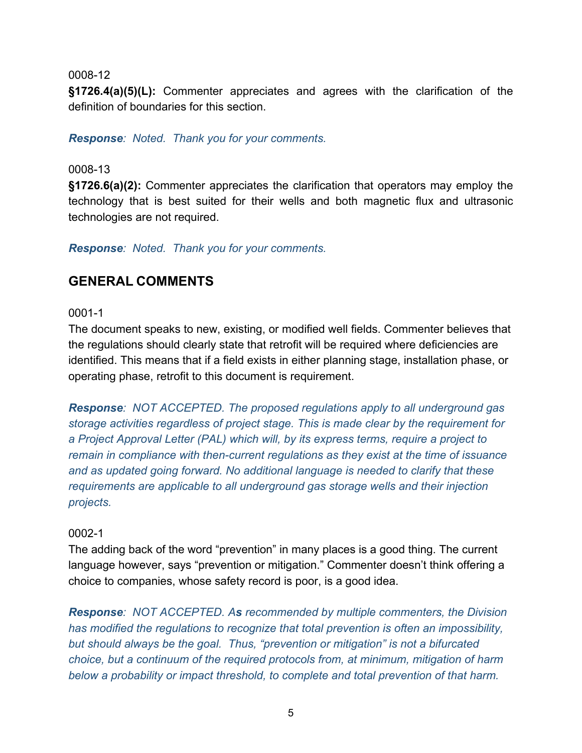**§1726.4(a)(5)(L):** Commenter appreciates and agrees with the clarification of the definition of boundaries for this section.

*Response: Noted. Thank you for your comments.*

#### 0008-13

**§1726.6(a)(2):** Commenter appreciates the clarification that operators may employ the technology that is best suited for their wells and both magnetic flux and ultrasonic technologies are not required.

*Response: Noted. Thank you for your comments.*

## **GENERAL COMMENTS**

#### 0001-1

The document speaks to new, existing, or modified well fields. Commenter believes that the regulations should clearly state that retrofit will be required where deficiencies are identified. This means that if a field exists in either planning stage, installation phase, or operating phase, retrofit to this document is requirement.

*Response: NOT ACCEPTED. The proposed regulations apply to all underground gas storage activities regardless of project stage. This is made clear by the requirement for a Project Approval Letter (PAL) which will, by its express terms, require a project to remain in compliance with then-current regulations as they exist at the time of issuance and as updated going forward. No additional language is needed to clarify that these requirements are applicable to all underground gas storage wells and their injection projects.*

#### 0002-1

The adding back of the word "prevention" in many places is a good thing. The current language however, says "prevention or mitigation." Commenter doesn't think offering a choice to companies, whose safety record is poor, is a good idea.

*Response: NOT ACCEPTED. As recommended by multiple commenters, the Division has modified the regulations to recognize that total prevention is often an impossibility, but should always be the goal. Thus, "prevention or mitigation" is not a bifurcated choice, but a continuum of the required protocols from, at minimum, mitigation of harm below a probability or impact threshold, to complete and total prevention of that harm.*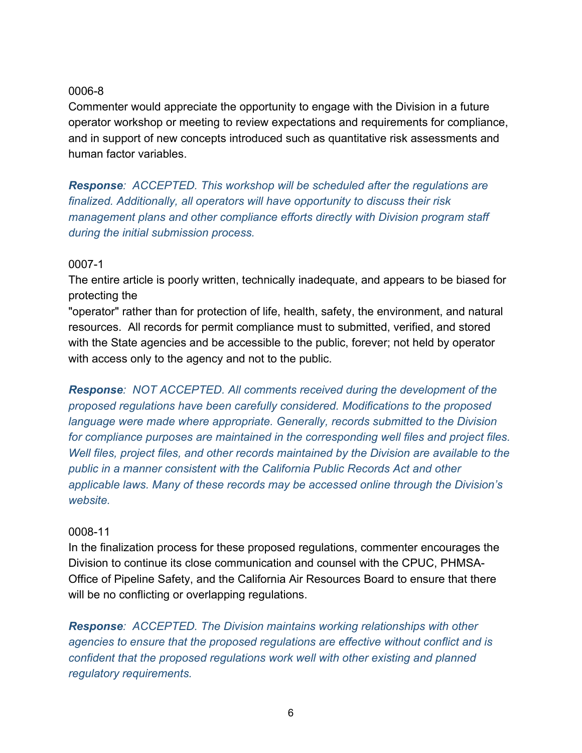Commenter would appreciate the opportunity to engage with the Division in a future operator workshop or meeting to review expectations and requirements for compliance, and in support of new concepts introduced such as quantitative risk assessments and human factor variables.

*Response: ACCEPTED. This workshop will be scheduled after the regulations are finalized. Additionally, all operators will have opportunity to discuss their risk management plans and other compliance efforts directly with Division program staff during the initial submission process.*

## 0007-1

The entire article is poorly written, technically inadequate, and appears to be biased for protecting the

"operator" rather than for protection of life, health, safety, the environment, and natural resources. All records for permit compliance must to submitted, verified, and stored with the State agencies and be accessible to the public, forever; not held by operator with access only to the agency and not to the public.

*Response: NOT ACCEPTED. All comments received during the development of the proposed regulations have been carefully considered. Modifications to the proposed language were made where appropriate. Generally, records submitted to the Division for compliance purposes are maintained in the corresponding well files and project files. Well files, project files, and other records maintained by the Division are available to the public in a manner consistent with the California Public Records Act and other applicable laws. Many of these records may be accessed online through the Division's website.* 

## 0008-11

In the finalization process for these proposed regulations, commenter encourages the Division to continue its close communication and counsel with the CPUC, PHMSA-Office of Pipeline Safety, and the California Air Resources Board to ensure that there will be no conflicting or overlapping regulations.

*Response: ACCEPTED. The Division maintains working relationships with other agencies to ensure that the proposed regulations are effective without conflict and is confident that the proposed regulations work well with other existing and planned regulatory requirements.*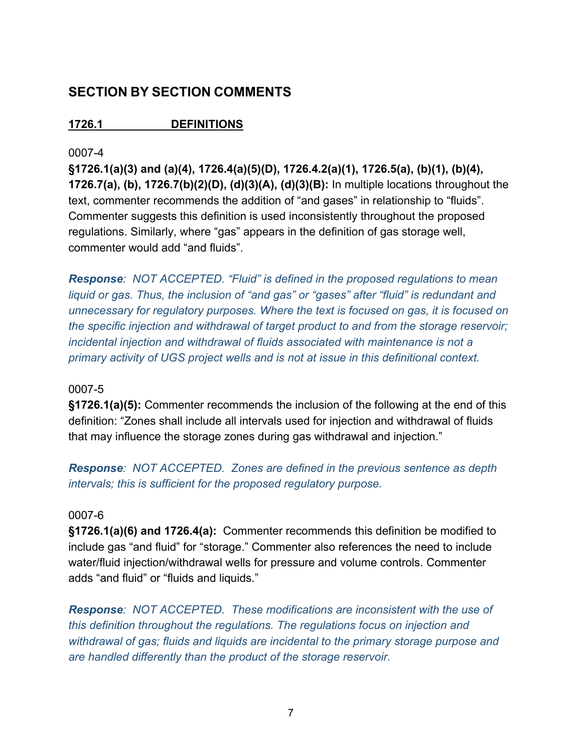## **SECTION BY SECTION COMMENTS**

**1726.1 DEFINITIONS**

## 0007-4

**§1726.1(a)(3) and (a)(4), 1726.4(a)(5)(D), 1726.4.2(a)(1), 1726.5(a), (b)(1), (b)(4), 1726.7(a), (b), 1726.7(b)(2)(D), (d)(3)(A), (d)(3)(B):** In multiple locations throughout the text, commenter recommends the addition of "and gases" in relationship to "fluids". Commenter suggests this definition is used inconsistently throughout the proposed regulations. Similarly, where "gas" appears in the definition of gas storage well, commenter would add "and fluids".

*Response: NOT ACCEPTED. "Fluid" is defined in the proposed regulations to mean liquid or gas. Thus, the inclusion of "and gas" or "gases" after "fluid" is redundant and unnecessary for regulatory purposes. Where the text is focused on gas, it is focused on the specific injection and withdrawal of target product to and from the storage reservoir; incidental injection and withdrawal of fluids associated with maintenance is not a primary activity of UGS project wells and is not at issue in this definitional context.*

## 0007-5

**§1726.1(a)(5):** Commenter recommends the inclusion of the following at the end of this definition: "Zones shall include all intervals used for injection and withdrawal of fluids that may influence the storage zones during gas withdrawal and injection."

*Response: NOT ACCEPTED. Zones are defined in the previous sentence as depth intervals; this is sufficient for the proposed regulatory purpose.*

## 0007-6

**§1726.1(a)(6) and 1726.4(a):** Commenter recommends this definition be modified to include gas "and fluid" for "storage." Commenter also references the need to include water/fluid injection/withdrawal wells for pressure and volume controls. Commenter adds "and fluid" or "fluids and liquids."

*Response: NOT ACCEPTED. These modifications are inconsistent with the use of this definition throughout the regulations. The regulations focus on injection and withdrawal of gas; fluids and liquids are incidental to the primary storage purpose and are handled differently than the product of the storage reservoir.*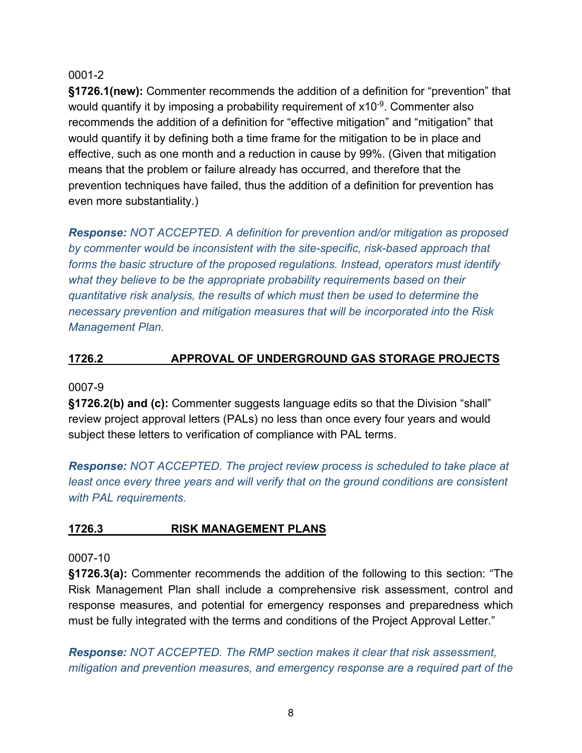**§1726.1(new):** Commenter recommends the addition of a definition for "prevention" that would quantify it by imposing a probability requirement of  $x10^{-9}$ . Commenter also recommends the addition of a definition for "effective mitigation" and "mitigation" that would quantify it by defining both a time frame for the mitigation to be in place and effective, such as one month and a reduction in cause by 99%. (Given that mitigation means that the problem or failure already has occurred, and therefore that the prevention techniques have failed, thus the addition of a definition for prevention has even more substantiality.)

*Response: NOT ACCEPTED. A definition for prevention and/or mitigation as proposed by commenter would be inconsistent with the site-specific, risk-based approach that forms the basic structure of the proposed regulations. Instead, operators must identify what they believe to be the appropriate probability requirements based on their quantitative risk analysis, the results of which must then be used to determine the necessary prevention and mitigation measures that will be incorporated into the Risk Management Plan.*

## **1726.2 APPROVAL OF UNDERGROUND GAS STORAGE PROJECTS**

#### 0007-9

**§1726.2(b) and (c):** Commenter suggests language edits so that the Division "shall" review project approval letters (PALs) no less than once every four years and would subject these letters to verification of compliance with PAL terms.

*Response: NOT ACCEPTED. The project review process is scheduled to take place at*  least once every three years and will verify that on the ground conditions are consistent *with PAL requirements.*

## **1726.3 RISK MANAGEMENT PLANS**

#### 0007-10

**§1726.3(a):** Commenter recommends the addition of the following to this section: "The Risk Management Plan shall include a comprehensive risk assessment, control and response measures, and potential for emergency responses and preparedness which must be fully integrated with the terms and conditions of the Project Approval Letter."

*Response: NOT ACCEPTED. The RMP section makes it clear that risk assessment, mitigation and prevention measures, and emergency response are a required part of the*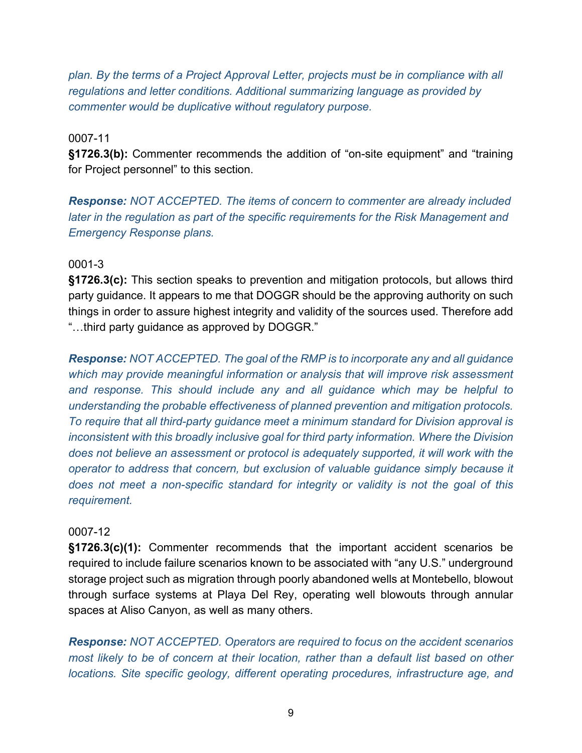*plan. By the terms of a Project Approval Letter, projects must be in compliance with all regulations and letter conditions. Additional summarizing language as provided by commenter would be duplicative without regulatory purpose.*

#### 0007-11

**§1726.3(b):** Commenter recommends the addition of "on-site equipment" and "training for Project personnel" to this section.

*Response: NOT ACCEPTED. The items of concern to commenter are already included later in the regulation as part of the specific requirements for the Risk Management and Emergency Response plans.*

#### 0001-3

**§1726.3(c):** This section speaks to prevention and mitigation protocols, but allows third party guidance. It appears to me that DOGGR should be the approving authority on such things in order to assure highest integrity and validity of the sources used. Therefore add "…third party guidance as approved by DOGGR."

*Response: NOT ACCEPTED. The goal of the RMP is to incorporate any and all guidance which may provide meaningful information or analysis that will improve risk assessment and response. This should include any and all guidance which may be helpful to understanding the probable effectiveness of planned prevention and mitigation protocols. To require that all third-party guidance meet a minimum standard for Division approval is inconsistent with this broadly inclusive goal for third party information. Where the Division does not believe an assessment or protocol is adequately supported, it will work with the operator to address that concern, but exclusion of valuable guidance simply because it does not meet a non-specific standard for integrity or validity is not the goal of this requirement.*

#### 0007-12

**§1726.3(c)(1):** Commenter recommends that the important accident scenarios be required to include failure scenarios known to be associated with "any U.S." underground storage project such as migration through poorly abandoned wells at Montebello, blowout through surface systems at Playa Del Rey, operating well blowouts through annular spaces at Aliso Canyon, as well as many others.

*Response: NOT ACCEPTED. Operators are required to focus on the accident scenarios most likely to be of concern at their location, rather than a default list based on other locations. Site specific geology, different operating procedures, infrastructure age, and*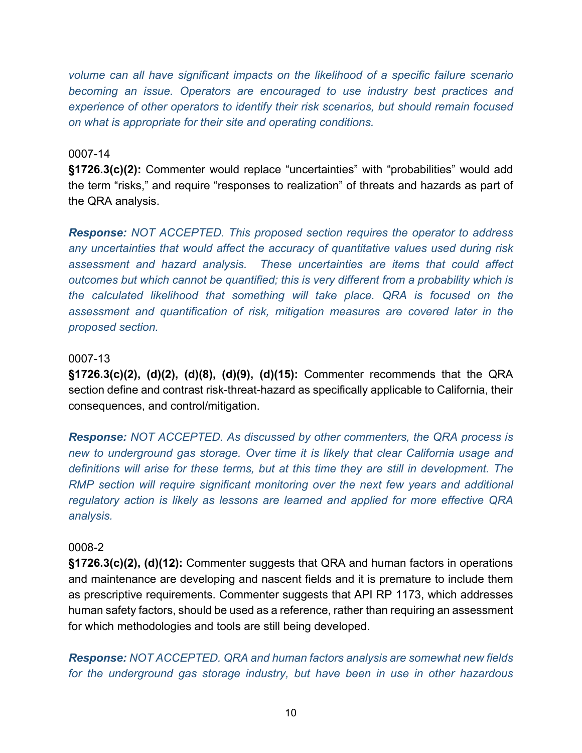*volume can all have significant impacts on the likelihood of a specific failure scenario becoming an issue. Operators are encouraged to use industry best practices and experience of other operators to identify their risk scenarios, but should remain focused on what is appropriate for their site and operating conditions.*

#### 0007-14

**§1726.3(c)(2):** Commenter would replace "uncertainties" with "probabilities" would add the term "risks," and require "responses to realization" of threats and hazards as part of the QRA analysis.

*Response: NOT ACCEPTED. This proposed section requires the operator to address any uncertainties that would affect the accuracy of quantitative values used during risk assessment and hazard analysis. These uncertainties are items that could affect outcomes but which cannot be quantified; this is very different from a probability which is the calculated likelihood that something will take place. QRA is focused on the assessment and quantification of risk, mitigation measures are covered later in the proposed section.*

#### 0007-13

**§1726.3(c)(2), (d)(2), (d)(8), (d)(9), (d)(15):** Commenter recommends that the QRA section define and contrast risk-threat-hazard as specifically applicable to California, their consequences, and control/mitigation.

*Response: NOT ACCEPTED. As discussed by other commenters, the QRA process is new to underground gas storage. Over time it is likely that clear California usage and definitions will arise for these terms, but at this time they are still in development. The RMP section will require significant monitoring over the next few years and additional regulatory action is likely as lessons are learned and applied for more effective QRA analysis.*

#### 0008-2

**§1726.3(c)(2), (d)(12):** Commenter suggests that QRA and human factors in operations and maintenance are developing and nascent fields and it is premature to include them as prescriptive requirements. Commenter suggests that API RP 1173, which addresses human safety factors, should be used as a reference, rather than requiring an assessment for which methodologies and tools are still being developed.

*Response: NOT ACCEPTED. QRA and human factors analysis are somewhat new fields for the underground gas storage industry, but have been in use in other hazardous*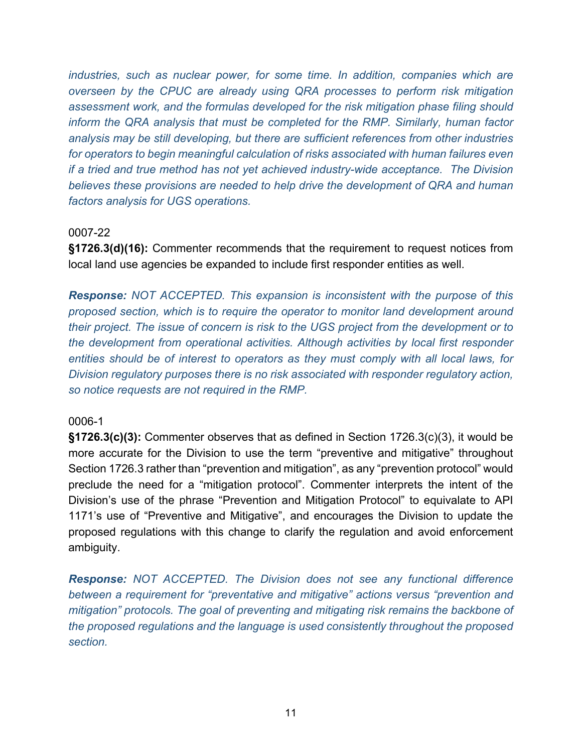*industries, such as nuclear power, for some time. In addition, companies which are overseen by the CPUC are already using QRA processes to perform risk mitigation assessment work, and the formulas developed for the risk mitigation phase filing should inform the QRA analysis that must be completed for the RMP. Similarly, human factor analysis may be still developing, but there are sufficient references from other industries for operators to begin meaningful calculation of risks associated with human failures even if a tried and true method has not yet achieved industry-wide acceptance. The Division believes these provisions are needed to help drive the development of QRA and human factors analysis for UGS operations.*

#### 0007-22

**§1726.3(d)(16):** Commenter recommends that the requirement to request notices from local land use agencies be expanded to include first responder entities as well.

*Response: NOT ACCEPTED. This expansion is inconsistent with the purpose of this proposed section, which is to require the operator to monitor land development around their project. The issue of concern is risk to the UGS project from the development or to the development from operational activities. Although activities by local first responder entities should be of interest to operators as they must comply with all local laws, for Division regulatory purposes there is no risk associated with responder regulatory action, so notice requests are not required in the RMP.*

#### 0006-1

**§1726.3(c)(3):** Commenter observes that as defined in Section 1726.3(c)(3), it would be more accurate for the Division to use the term "preventive and mitigative" throughout Section 1726.3 rather than "prevention and mitigation", as any "prevention protocol" would preclude the need for a "mitigation protocol". Commenter interprets the intent of the Division's use of the phrase "Prevention and Mitigation Protocol" to equivalate to API 1171's use of "Preventive and Mitigative", and encourages the Division to update the proposed regulations with this change to clarify the regulation and avoid enforcement ambiguity.

*Response: NOT ACCEPTED. The Division does not see any functional difference between a requirement for "preventative and mitigative" actions versus "prevention and mitigation" protocols. The goal of preventing and mitigating risk remains the backbone of the proposed regulations and the language is used consistently throughout the proposed section.*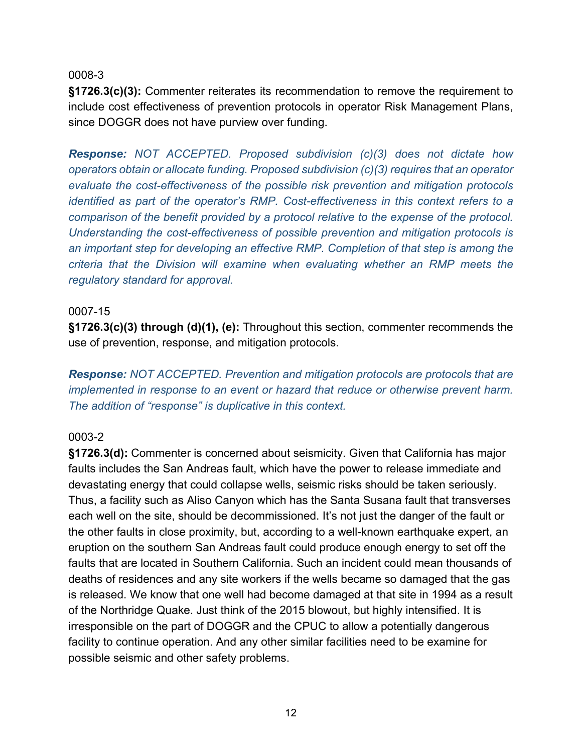**§1726.3(c)(3):** Commenter reiterates its recommendation to remove the requirement to include cost effectiveness of prevention protocols in operator Risk Management Plans, since DOGGR does not have purview over funding.

*Response: NOT ACCEPTED. Proposed subdivision (c)(3) does not dictate how operators obtain or allocate funding. Proposed subdivision (c)(3) requires that an operator evaluate the cost-effectiveness of the possible risk prevention and mitigation protocols identified as part of the operator's RMP. Cost-effectiveness in this context refers to a comparison of the benefit provided by a protocol relative to the expense of the protocol. Understanding the cost-effectiveness of possible prevention and mitigation protocols is an important step for developing an effective RMP. Completion of that step is among the criteria that the Division will examine when evaluating whether an RMP meets the regulatory standard for approval.*

#### 0007-15

**§1726.3(c)(3) through (d)(1), (e):** Throughout this section, commenter recommends the use of prevention, response, and mitigation protocols.

*Response: NOT ACCEPTED. Prevention and mitigation protocols are protocols that are implemented in response to an event or hazard that reduce or otherwise prevent harm. The addition of "response" is duplicative in this context.*

#### 0003-2

**§1726.3(d):** Commenter is concerned about seismicity. Given that California has major faults includes the San Andreas fault, which have the power to release immediate and devastating energy that could collapse wells, seismic risks should be taken seriously. Thus, a facility such as Aliso Canyon which has the Santa Susana fault that transverses each well on the site, should be decommissioned. It's not just the danger of the fault or the other faults in close proximity, but, according to a well-known earthquake expert, an eruption on the southern San Andreas fault could produce enough energy to set off the faults that are located in Southern California. Such an incident could mean thousands of deaths of residences and any site workers if the wells became so damaged that the gas is released. We know that one well had become damaged at that site in 1994 as a result of the Northridge Quake. Just think of the 2015 blowout, but highly intensified. It is irresponsible on the part of DOGGR and the CPUC to allow a potentially dangerous facility to continue operation. And any other similar facilities need to be examine for possible seismic and other safety problems.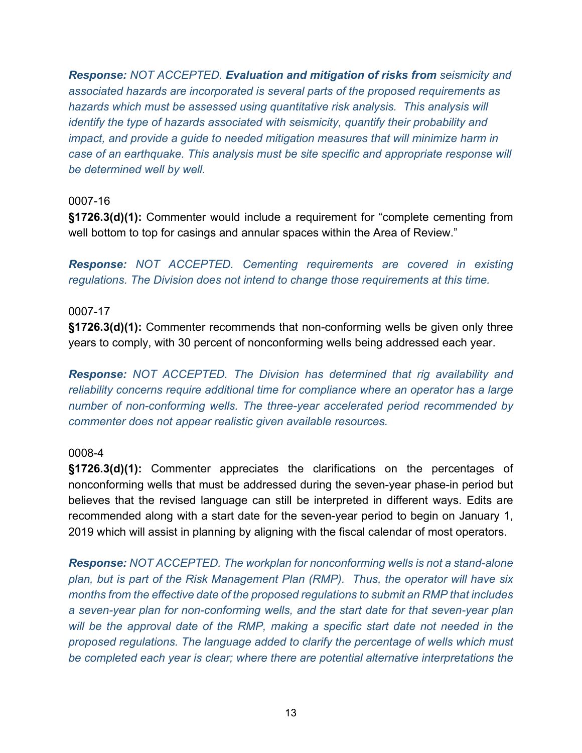*Response: NOT ACCEPTED. Evaluation and mitigation of risks from seismicity and associated hazards are incorporated is several parts of the proposed requirements as hazards which must be assessed using quantitative risk analysis. This analysis will identify the type of hazards associated with seismicity, quantify their probability and impact, and provide a quide to needed mitigation measures that will minimize harm in case of an earthquake. This analysis must be site specific and appropriate response will be determined well by well.*

## 0007-16

**§1726.3(d)(1):** Commenter would include a requirement for "complete cementing from well bottom to top for casings and annular spaces within the Area of Review."

*Response: NOT ACCEPTED. Cementing requirements are covered in existing regulations. The Division does not intend to change those requirements at this time.* 

#### 0007-17

**§1726.3(d)(1):** Commenter recommends that non-conforming wells be given only three years to comply, with 30 percent of nonconforming wells being addressed each year.

*Response: NOT ACCEPTED. The Division has determined that rig availability and reliability concerns require additional time for compliance where an operator has a large number of non-conforming wells. The three-year accelerated period recommended by commenter does not appear realistic given available resources.* 

#### 0008-4

**§1726.3(d)(1):** Commenter appreciates the clarifications on the percentages of nonconforming wells that must be addressed during the seven-year phase-in period but believes that the revised language can still be interpreted in different ways. Edits are recommended along with a start date for the seven-year period to begin on January 1, 2019 which will assist in planning by aligning with the fiscal calendar of most operators.

*Response: NOT ACCEPTED. The workplan for nonconforming wells is not a stand-alone plan, but is part of the Risk Management Plan (RMP). Thus, the operator will have six months from the effective date of the proposed regulations to submit an RMP that includes a seven-year plan for non-conforming wells, and the start date for that seven-year plan will be the approval date of the RMP, making a specific start date not needed in the proposed regulations. The language added to clarify the percentage of wells which must be completed each year is clear; where there are potential alternative interpretations the*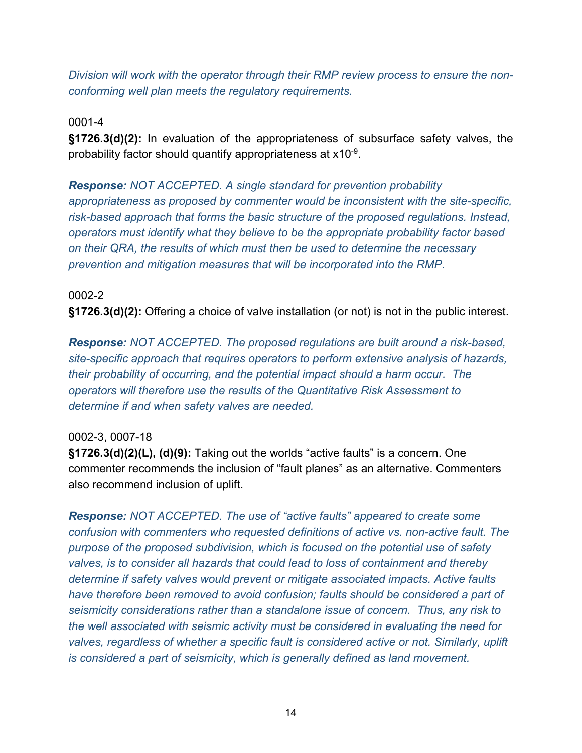*Division will work with the operator through their RMP review process to ensure the nonconforming well plan meets the regulatory requirements.* 

0001-4

**§1726.3(d)(2):** In evaluation of the appropriateness of subsurface safety valves, the probability factor should quantify appropriateness at x10-9.

*Response: NOT ACCEPTED. A single standard for prevention probability appropriateness as proposed by commenter would be inconsistent with the site-specific, risk-based approach that forms the basic structure of the proposed regulations. Instead, operators must identify what they believe to be the appropriate probability factor based on their QRA, the results of which must then be used to determine the necessary prevention and mitigation measures that will be incorporated into the RMP.*

0002-2 **§1726.3(d)(2):** Offering a choice of valve installation (or not) is not in the public interest.

*Response: NOT ACCEPTED. The proposed regulations are built around a risk-based, site-specific approach that requires operators to perform extensive analysis of hazards, their probability of occurring, and the potential impact should a harm occur. The operators will therefore use the results of the Quantitative Risk Assessment to determine if and when safety valves are needed.*

## 0002-3, 0007-18

**§1726.3(d)(2)(L), (d)(9):** Taking out the worlds "active faults" is a concern. One commenter recommends the inclusion of "fault planes" as an alternative. Commenters also recommend inclusion of uplift.

*Response: NOT ACCEPTED. The use of "active faults" appeared to create some confusion with commenters who requested definitions of active vs. non-active fault. The purpose of the proposed subdivision, which is focused on the potential use of safety valves, is to consider all hazards that could lead to loss of containment and thereby determine if safety valves would prevent or mitigate associated impacts. Active faults have therefore been removed to avoid confusion; faults should be considered a part of seismicity considerations rather than a standalone issue of concern. Thus, any risk to the well associated with seismic activity must be considered in evaluating the need for valves, regardless of whether a specific fault is considered active or not. Similarly, uplift is considered a part of seismicity, which is generally defined as land movement.*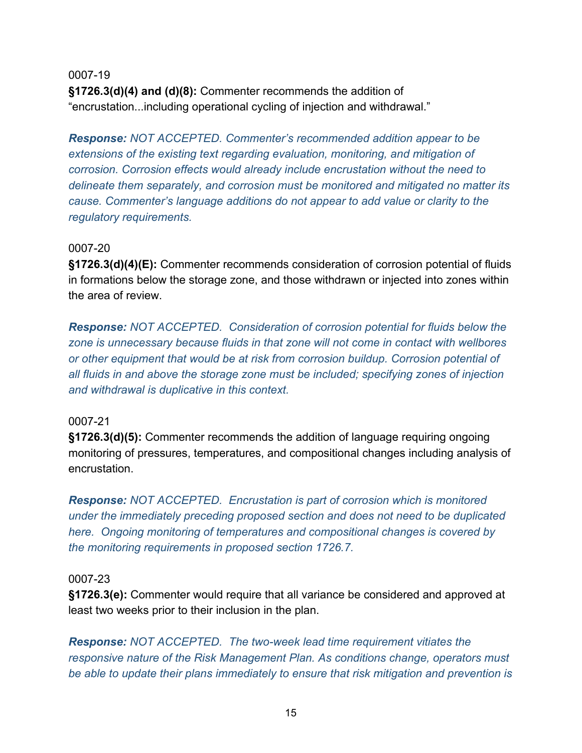0007-19 **§1726.3(d)(4) and (d)(8):** Commenter recommends the addition of "encrustation...including operational cycling of injection and withdrawal."

*Response: NOT ACCEPTED. Commenter's recommended addition appear to be extensions of the existing text regarding evaluation, monitoring, and mitigation of corrosion. Corrosion effects would already include encrustation without the need to delineate them separately, and corrosion must be monitored and mitigated no matter its cause. Commenter's language additions do not appear to add value or clarity to the regulatory requirements.*

#### 0007-20

**§1726.3(d)(4)(E):** Commenter recommends consideration of corrosion potential of fluids in formations below the storage zone, and those withdrawn or injected into zones within the area of review.

*Response: NOT ACCEPTED. Consideration of corrosion potential for fluids below the zone is unnecessary because fluids in that zone will not come in contact with wellbores or other equipment that would be at risk from corrosion buildup. Corrosion potential of all fluids in and above the storage zone must be included; specifying zones of injection and withdrawal is duplicative in this context.*

#### 0007-21

**§1726.3(d)(5):** Commenter recommends the addition of language requiring ongoing monitoring of pressures, temperatures, and compositional changes including analysis of encrustation.

*Response: NOT ACCEPTED. Encrustation is part of corrosion which is monitored under the immediately preceding proposed section and does not need to be duplicated here. Ongoing monitoring of temperatures and compositional changes is covered by the monitoring requirements in proposed section 1726.7.*

#### 0007-23

**§1726.3(e):** Commenter would require that all variance be considered and approved at least two weeks prior to their inclusion in the plan.

*Response: NOT ACCEPTED. The two-week lead time requirement vitiates the responsive nature of the Risk Management Plan. As conditions change, operators must be able to update their plans immediately to ensure that risk mitigation and prevention is*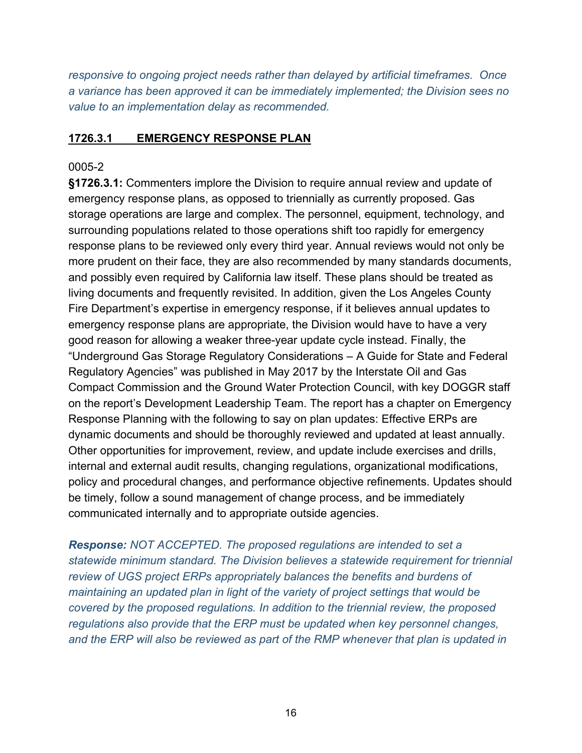*responsive to ongoing project needs rather than delayed by artificial timeframes. Once a variance has been approved it can be immediately implemented; the Division sees no value to an implementation delay as recommended.*

#### **1726.3.1 EMERGENCY RESPONSE PLAN**

#### 0005-2

**§1726.3.1:** Commenters implore the Division to require annual review and update of emergency response plans, as opposed to triennially as currently proposed. Gas storage operations are large and complex. The personnel, equipment, technology, and surrounding populations related to those operations shift too rapidly for emergency response plans to be reviewed only every third year. Annual reviews would not only be more prudent on their face, they are also recommended by many standards documents, and possibly even required by California law itself. These plans should be treated as living documents and frequently revisited. In addition, given the Los Angeles County Fire Department's expertise in emergency response, if it believes annual updates to emergency response plans are appropriate, the Division would have to have a very good reason for allowing a weaker three-year update cycle instead. Finally, the "Underground Gas Storage Regulatory Considerations – A Guide for State and Federal Regulatory Agencies" was published in May 2017 by the Interstate Oil and Gas Compact Commission and the Ground Water Protection Council, with key DOGGR staff on the report's Development Leadership Team. The report has a chapter on Emergency Response Planning with the following to say on plan updates: Effective ERPs are dynamic documents and should be thoroughly reviewed and updated at least annually. Other opportunities for improvement, review, and update include exercises and drills, internal and external audit results, changing regulations, organizational modifications, policy and procedural changes, and performance objective refinements. Updates should be timely, follow a sound management of change process, and be immediately communicated internally and to appropriate outside agencies.

*Response: NOT ACCEPTED. The proposed regulations are intended to set a statewide minimum standard. The Division believes a statewide requirement for triennial review of UGS project ERPs appropriately balances the benefits and burdens of maintaining an updated plan in light of the variety of project settings that would be covered by the proposed regulations. In addition to the triennial review, the proposed regulations also provide that the ERP must be updated when key personnel changes, and the ERP will also be reviewed as part of the RMP whenever that plan is updated in*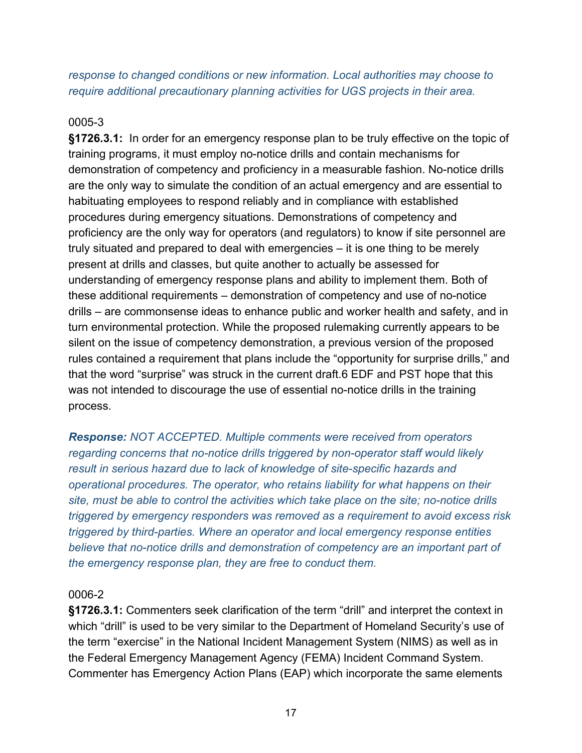## *response to changed conditions or new information. Local authorities may choose to require additional precautionary planning activities for UGS projects in their area.*

## 0005-3

**§1726.3.1:** In order for an emergency response plan to be truly effective on the topic of training programs, it must employ no-notice drills and contain mechanisms for demonstration of competency and proficiency in a measurable fashion. No-notice drills are the only way to simulate the condition of an actual emergency and are essential to habituating employees to respond reliably and in compliance with established procedures during emergency situations. Demonstrations of competency and proficiency are the only way for operators (and regulators) to know if site personnel are truly situated and prepared to deal with emergencies – it is one thing to be merely present at drills and classes, but quite another to actually be assessed for understanding of emergency response plans and ability to implement them. Both of these additional requirements – demonstration of competency and use of no-notice drills – are commonsense ideas to enhance public and worker health and safety, and in turn environmental protection. While the proposed rulemaking currently appears to be silent on the issue of competency demonstration, a previous version of the proposed rules contained a requirement that plans include the "opportunity for surprise drills," and that the word "surprise" was struck in the current draft.6 EDF and PST hope that this was not intended to discourage the use of essential no-notice drills in the training process.

*Response: NOT ACCEPTED. Multiple comments were received from operators regarding concerns that no-notice drills triggered by non-operator staff would likely result in serious hazard due to lack of knowledge of site-specific hazards and operational procedures. The operator, who retains liability for what happens on their site, must be able to control the activities which take place on the site; no-notice drills triggered by emergency responders was removed as a requirement to avoid excess risk triggered by third-parties. Where an operator and local emergency response entities believe that no-notice drills and demonstration of competency are an important part of the emergency response plan, they are free to conduct them.*

#### 0006-2

**§1726.3.1:** Commenters seek clarification of the term "drill" and interpret the context in which "drill" is used to be very similar to the Department of Homeland Security's use of the term "exercise" in the National Incident Management System (NIMS) as well as in the Federal Emergency Management Agency (FEMA) Incident Command System. Commenter has Emergency Action Plans (EAP) which incorporate the same elements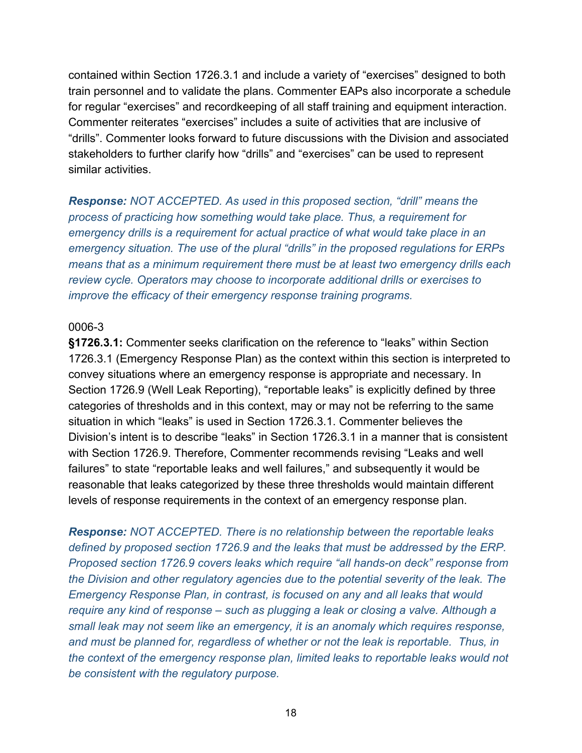contained within Section 1726.3.1 and include a variety of "exercises" designed to both train personnel and to validate the plans. Commenter EAPs also incorporate a schedule for regular "exercises" and recordkeeping of all staff training and equipment interaction. Commenter reiterates "exercises" includes a suite of activities that are inclusive of "drills". Commenter looks forward to future discussions with the Division and associated stakeholders to further clarify how "drills" and "exercises" can be used to represent similar activities.

*Response: NOT ACCEPTED. As used in this proposed section, "drill" means the process of practicing how something would take place. Thus, a requirement for emergency drills is a requirement for actual practice of what would take place in an emergency situation. The use of the plural "drills" in the proposed regulations for ERPs means that as a minimum requirement there must be at least two emergency drills each review cycle. Operators may choose to incorporate additional drills or exercises to improve the efficacy of their emergency response training programs.*

#### 0006-3

**§1726.3.1:** Commenter seeks clarification on the reference to "leaks" within Section 1726.3.1 (Emergency Response Plan) as the context within this section is interpreted to convey situations where an emergency response is appropriate and necessary. In Section 1726.9 (Well Leak Reporting), "reportable leaks" is explicitly defined by three categories of thresholds and in this context, may or may not be referring to the same situation in which "leaks" is used in Section 1726.3.1. Commenter believes the Division's intent is to describe "leaks" in Section 1726.3.1 in a manner that is consistent with Section 1726.9. Therefore, Commenter recommends revising "Leaks and well failures" to state "reportable leaks and well failures," and subsequently it would be reasonable that leaks categorized by these three thresholds would maintain different levels of response requirements in the context of an emergency response plan.

*Response: NOT ACCEPTED. There is no relationship between the reportable leaks defined by proposed section 1726.9 and the leaks that must be addressed by the ERP. Proposed section 1726.9 covers leaks which require "all hands-on deck" response from the Division and other regulatory agencies due to the potential severity of the leak. The Emergency Response Plan, in contrast, is focused on any and all leaks that would require any kind of response – such as plugging a leak or closing a valve. Although a small leak may not seem like an emergency, it is an anomaly which requires response, and must be planned for, regardless of whether or not the leak is reportable. Thus, in the context of the emergency response plan, limited leaks to reportable leaks would not be consistent with the regulatory purpose.*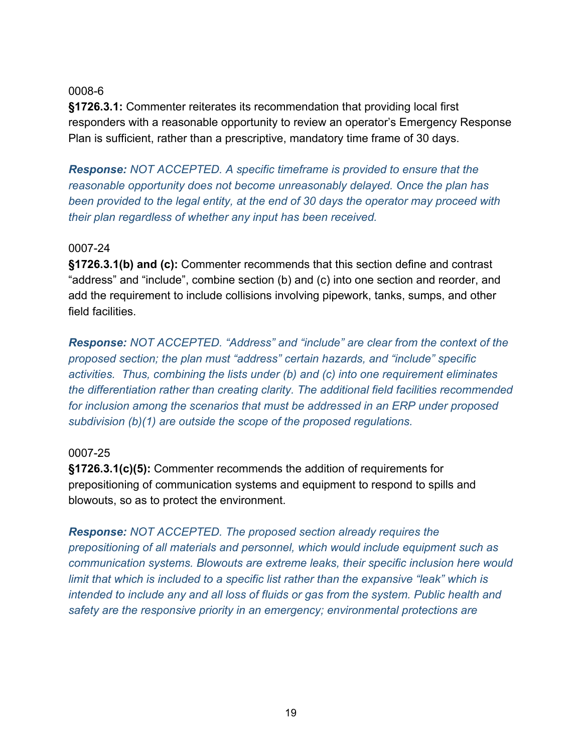**§1726.3.1:** Commenter reiterates its recommendation that providing local first responders with a reasonable opportunity to review an operator's Emergency Response Plan is sufficient, rather than a prescriptive, mandatory time frame of 30 days.

*Response: NOT ACCEPTED. A specific timeframe is provided to ensure that the reasonable opportunity does not become unreasonably delayed. Once the plan has been provided to the legal entity, at the end of 30 days the operator may proceed with their plan regardless of whether any input has been received.*

#### 0007-24

**§1726.3.1(b) and (c):** Commenter recommends that this section define and contrast "address" and "include", combine section (b) and (c) into one section and reorder, and add the requirement to include collisions involving pipework, tanks, sumps, and other field facilities.

*Response: NOT ACCEPTED. "Address" and "include" are clear from the context of the proposed section; the plan must "address" certain hazards, and "include" specific activities. Thus, combining the lists under (b) and (c) into one requirement eliminates the differentiation rather than creating clarity. The additional field facilities recommended for inclusion among the scenarios that must be addressed in an ERP under proposed subdivision (b)(1) are outside the scope of the proposed regulations.* 

## 0007-25

**§1726.3.1(c)(5):** Commenter recommends the addition of requirements for prepositioning of communication systems and equipment to respond to spills and blowouts, so as to protect the environment.

*Response: NOT ACCEPTED. The proposed section already requires the prepositioning of all materials and personnel, which would include equipment such as communication systems. Blowouts are extreme leaks, their specific inclusion here would limit that which is included to a specific list rather than the expansive "leak" which is intended to include any and all loss of fluids or gas from the system. Public health and safety are the responsive priority in an emergency; environmental protections are*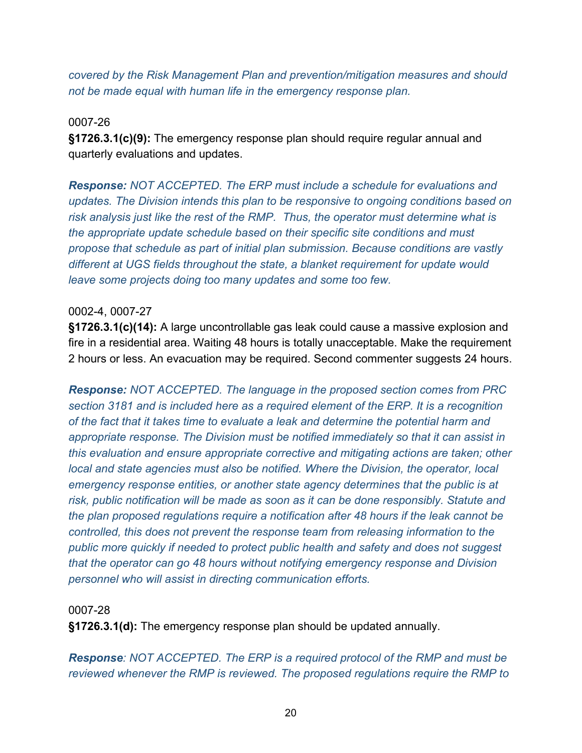*covered by the Risk Management Plan and prevention/mitigation measures and should not be made equal with human life in the emergency response plan.* 

#### 0007-26

**§1726.3.1(c)(9):** The emergency response plan should require regular annual and quarterly evaluations and updates.

*Response: NOT ACCEPTED. The ERP must include a schedule for evaluations and updates. The Division intends this plan to be responsive to ongoing conditions based on risk analysis just like the rest of the RMP. Thus, the operator must determine what is the appropriate update schedule based on their specific site conditions and must propose that schedule as part of initial plan submission. Because conditions are vastly different at UGS fields throughout the state, a blanket requirement for update would leave some projects doing too many updates and some too few.*

## 0002-4, 0007-27

**§1726.3.1(c)(14):** A large uncontrollable gas leak could cause a massive explosion and fire in a residential area. Waiting 48 hours is totally unacceptable. Make the requirement 2 hours or less. An evacuation may be required. Second commenter suggests 24 hours.

*Response: NOT ACCEPTED. The language in the proposed section comes from PRC section 3181 and is included here as a required element of the ERP. It is a recognition of the fact that it takes time to evaluate a leak and determine the potential harm and appropriate response. The Division must be notified immediately so that it can assist in this evaluation and ensure appropriate corrective and mitigating actions are taken; other local and state agencies must also be notified. Where the Division, the operator, local emergency response entities, or another state agency determines that the public is at risk, public notification will be made as soon as it can be done responsibly. Statute and the plan proposed regulations require a notification after 48 hours if the leak cannot be controlled, this does not prevent the response team from releasing information to the public more quickly if needed to protect public health and safety and does not suggest that the operator can go 48 hours without notifying emergency response and Division personnel who will assist in directing communication efforts.*

#### 0007-28

**§1726.3.1(d):** The emergency response plan should be updated annually.

*Response: NOT ACCEPTED. The ERP is a required protocol of the RMP and must be reviewed whenever the RMP is reviewed. The proposed regulations require the RMP to*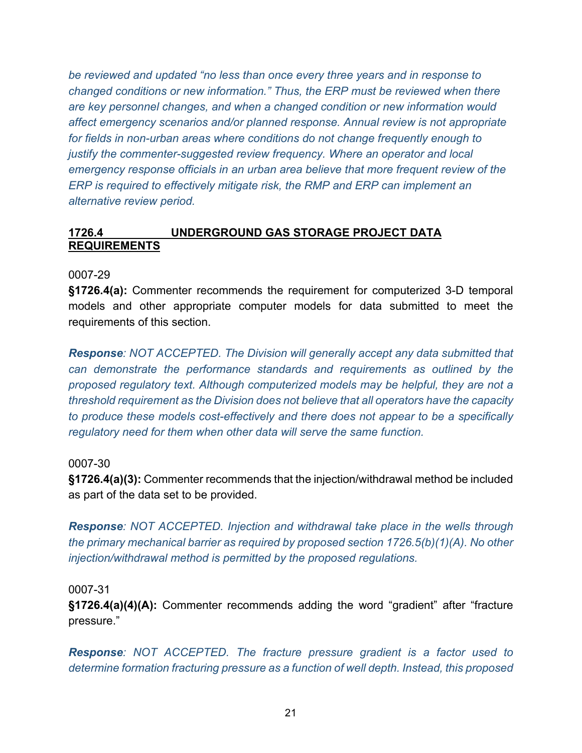*be reviewed and updated "no less than once every three years and in response to changed conditions or new information." Thus, the ERP must be reviewed when there are key personnel changes, and when a changed condition or new information would affect emergency scenarios and/or planned response. Annual review is not appropriate for fields in non-urban areas where conditions do not change frequently enough to justify the commenter-suggested review frequency. Where an operator and local emergency response officials in an urban area believe that more frequent review of the ERP is required to effectively mitigate risk, the RMP and ERP can implement an alternative review period.*

#### **1726.4 UNDERGROUND GAS STORAGE PROJECT DATA REQUIREMENTS**

0007-29

**§1726.4(a):** Commenter recommends the requirement for computerized 3-D temporal models and other appropriate computer models for data submitted to meet the requirements of this section.

*Response: NOT ACCEPTED. The Division will generally accept any data submitted that can demonstrate the performance standards and requirements as outlined by the proposed regulatory text. Although computerized models may be helpful, they are not a threshold requirement as the Division does not believe that all operators have the capacity to produce these models cost-effectively and there does not appear to be a specifically regulatory need for them when other data will serve the same function.*

#### 0007-30

**§1726.4(a)(3):** Commenter recommends that the injection/withdrawal method be included as part of the data set to be provided.

*Response: NOT ACCEPTED. Injection and withdrawal take place in the wells through the primary mechanical barrier as required by proposed section 1726.5(b)(1)(A). No other injection/withdrawal method is permitted by the proposed regulations.*

0007-31

**§1726.4(a)(4)(A):** Commenter recommends adding the word "gradient" after "fracture pressure."

*Response: NOT ACCEPTED. The fracture pressure gradient is a factor used to determine formation fracturing pressure as a function of well depth. Instead, this proposed*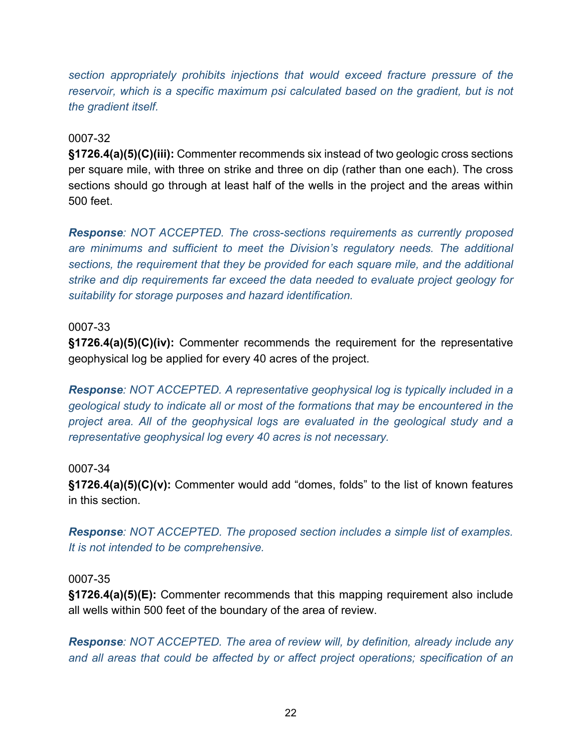*section appropriately prohibits injections that would exceed fracture pressure of the reservoir, which is a specific maximum psi calculated based on the gradient, but is not the gradient itself.*

## 0007-32

**§1726.4(a)(5)(C)(iii):** Commenter recommends six instead of two geologic cross sections per square mile, with three on strike and three on dip (rather than one each). The cross sections should go through at least half of the wells in the project and the areas within 500 feet.

*Response: NOT ACCEPTED. The cross-sections requirements as currently proposed are minimums and sufficient to meet the Division's regulatory needs. The additional sections, the requirement that they be provided for each square mile, and the additional strike and dip requirements far exceed the data needed to evaluate project geology for suitability for storage purposes and hazard identification.*

#### 0007-33

**§1726.4(a)(5)(C)(iv):** Commenter recommends the requirement for the representative geophysical log be applied for every 40 acres of the project.

*Response: NOT ACCEPTED. A representative geophysical log is typically included in a geological study to indicate all or most of the formations that may be encountered in the project area. All of the geophysical logs are evaluated in the geological study and a representative geophysical log every 40 acres is not necessary.*

## 0007-34

**§1726.4(a)(5)(C)(v):** Commenter would add "domes, folds" to the list of known features in this section.

*Response: NOT ACCEPTED. The proposed section includes a simple list of examples. It is not intended to be comprehensive.*

#### 0007-35

**§1726.4(a)(5)(E):** Commenter recommends that this mapping requirement also include all wells within 500 feet of the boundary of the area of review.

*Response: NOT ACCEPTED. The area of review will, by definition, already include any and all areas that could be affected by or affect project operations; specification of an*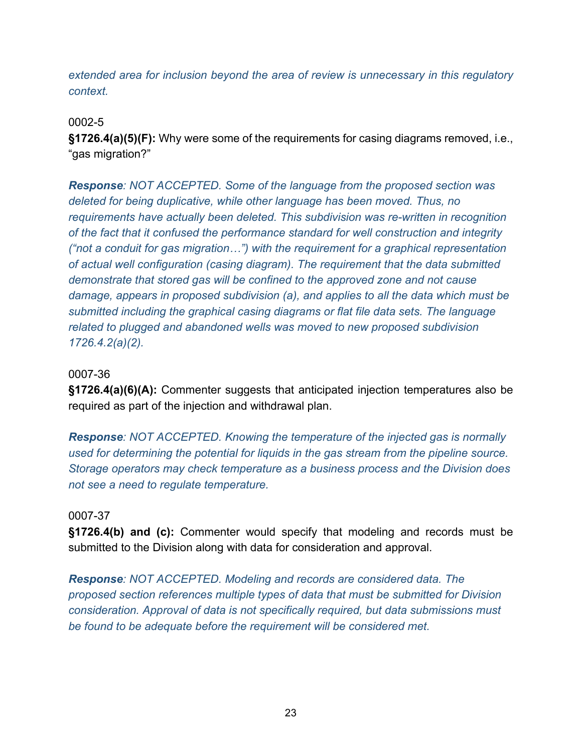*extended area for inclusion beyond the area of review is unnecessary in this regulatory context.*

#### 0002-5

**§1726.4(a)(5)(F):** Why were some of the requirements for casing diagrams removed, i.e., "gas migration?"

*Response: NOT ACCEPTED. Some of the language from the proposed section was deleted for being duplicative, while other language has been moved. Thus, no requirements have actually been deleted. This subdivision was re-written in recognition of the fact that it confused the performance standard for well construction and integrity ("not a conduit for gas migration…") with the requirement for a graphical representation of actual well configuration (casing diagram). The requirement that the data submitted demonstrate that stored gas will be confined to the approved zone and not cause damage, appears in proposed subdivision (a), and applies to all the data which must be submitted including the graphical casing diagrams or flat file data sets. The language related to plugged and abandoned wells was moved to new proposed subdivision 1726.4.2(a)(2).* 

#### 0007-36

**§1726.4(a)(6)(A):** Commenter suggests that anticipated injection temperatures also be required as part of the injection and withdrawal plan.

*Response: NOT ACCEPTED. Knowing the temperature of the injected gas is normally used for determining the potential for liquids in the gas stream from the pipeline source. Storage operators may check temperature as a business process and the Division does not see a need to regulate temperature.* 

#### 0007-37

**§1726.4(b) and (c):** Commenter would specify that modeling and records must be submitted to the Division along with data for consideration and approval.

*Response: NOT ACCEPTED. Modeling and records are considered data. The proposed section references multiple types of data that must be submitted for Division consideration. Approval of data is not specifically required, but data submissions must be found to be adequate before the requirement will be considered met.*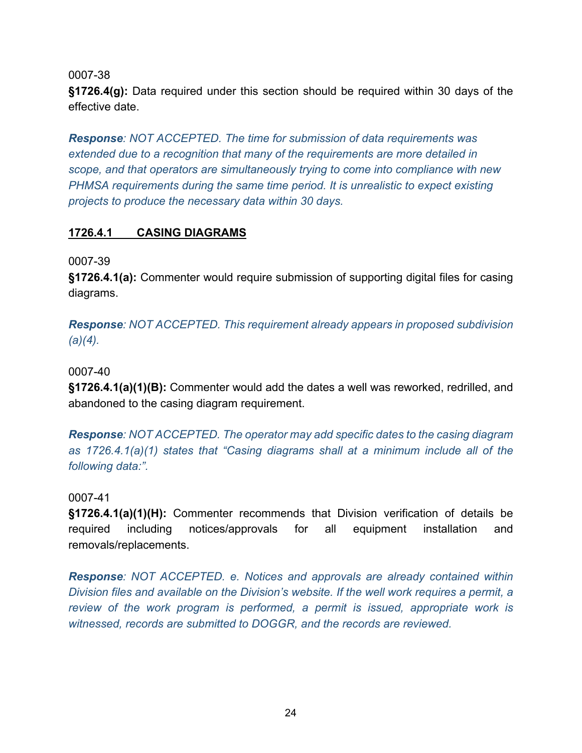**§1726.4(g):** Data required under this section should be required within 30 days of the effective date.

*Response: NOT ACCEPTED. The time for submission of data requirements was extended due to a recognition that many of the requirements are more detailed in scope, and that operators are simultaneously trying to come into compliance with new PHMSA requirements during the same time period. It is unrealistic to expect existing projects to produce the necessary data within 30 days.*

## **1726.4.1 CASING DIAGRAMS**

0007-39

**§1726.4.1(a):** Commenter would require submission of supporting digital files for casing diagrams.

*Response: NOT ACCEPTED. This requirement already appears in proposed subdivision (a)(4).*

0007-40

**§1726.4.1(a)(1)(B):** Commenter would add the dates a well was reworked, redrilled, and abandoned to the casing diagram requirement.

*Response: NOT ACCEPTED. The operator may add specific dates to the casing diagram as 1726.4.1(a)(1) states that "Casing diagrams shall at a minimum include all of the following data:".*

0007-41

**§1726.4.1(a)(1)(H):** Commenter recommends that Division verification of details be required including notices/approvals for all equipment installation and removals/replacements.

*Response: NOT ACCEPTED. e. Notices and approvals are already contained within Division files and available on the Division's website. If the well work requires a permit, a review of the work program is performed, a permit is issued, appropriate work is witnessed, records are submitted to DOGGR, and the records are reviewed.*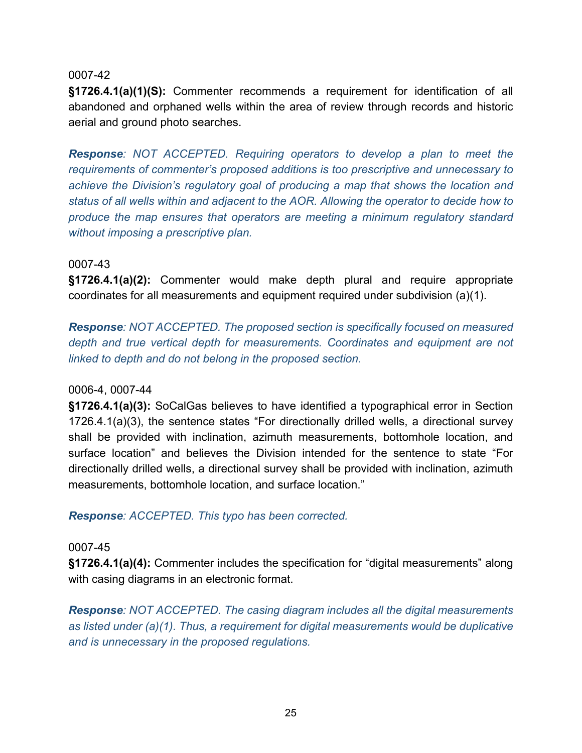**§1726.4.1(a)(1)(S):** Commenter recommends a requirement for identification of all abandoned and orphaned wells within the area of review through records and historic aerial and ground photo searches.

*Response: NOT ACCEPTED. Requiring operators to develop a plan to meet the requirements of commenter's proposed additions is too prescriptive and unnecessary to achieve the Division's regulatory goal of producing a map that shows the location and status of all wells within and adjacent to the AOR. Allowing the operator to decide how to produce the map ensures that operators are meeting a minimum regulatory standard without imposing a prescriptive plan.*

#### 0007-43

**§1726.4.1(a)(2):** Commenter would make depth plural and require appropriate coordinates for all measurements and equipment required under subdivision (a)(1).

*Response: NOT ACCEPTED. The proposed section is specifically focused on measured depth and true vertical depth for measurements. Coordinates and equipment are not linked to depth and do not belong in the proposed section.*

#### 0006-4, 0007-44

**§1726.4.1(a)(3):** SoCalGas believes to have identified a typographical error in Section 1726.4.1(a)(3), the sentence states "For directionally drilled wells, a directional survey shall be provided with inclination, azimuth measurements, bottomhole location, and surface location" and believes the Division intended for the sentence to state "For directionally drilled wells, a directional survey shall be provided with inclination, azimuth measurements, bottomhole location, and surface location."

*Response: ACCEPTED. This typo has been corrected.*

#### 0007-45

**§1726.4.1(a)(4):** Commenter includes the specification for "digital measurements" along with casing diagrams in an electronic format.

*Response: NOT ACCEPTED. The casing diagram includes all the digital measurements as listed under (a)(1). Thus, a requirement for digital measurements would be duplicative and is unnecessary in the proposed regulations.*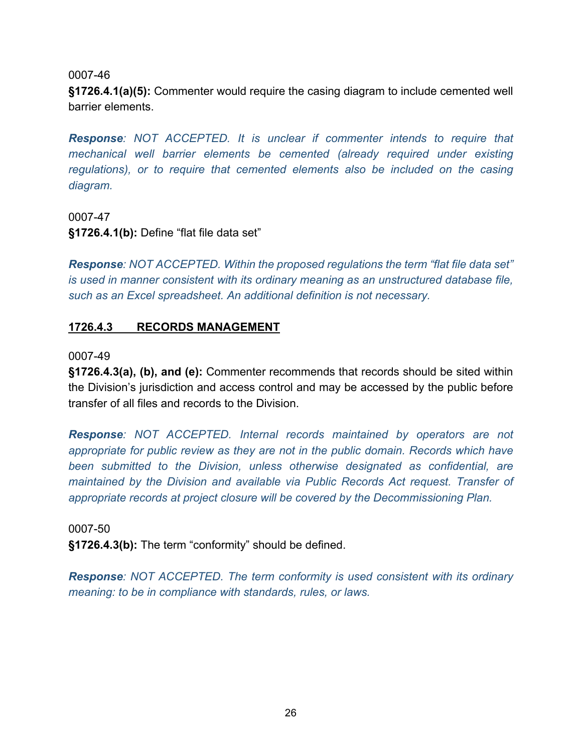**§1726.4.1(a)(5):** Commenter would require the casing diagram to include cemented well barrier elements.

*Response: NOT ACCEPTED. It is unclear if commenter intends to require that mechanical well barrier elements be cemented (already required under existing regulations), or to require that cemented elements also be included on the casing diagram.* 

0007-47

**§1726.4.1(b):** Define "flat file data set"

*Response: NOT ACCEPTED. Within the proposed regulations the term "flat file data set" is used in manner consistent with its ordinary meaning as an unstructured database file, such as an Excel spreadsheet. An additional definition is not necessary.*

## **1726.4.3 RECORDS MANAGEMENT**

#### 0007-49

**§1726.4.3(a), (b), and (e):** Commenter recommends that records should be sited within the Division's jurisdiction and access control and may be accessed by the public before transfer of all files and records to the Division.

*Response: NOT ACCEPTED. Internal records maintained by operators are not appropriate for public review as they are not in the public domain. Records which have been submitted to the Division, unless otherwise designated as confidential, are maintained by the Division and available via Public Records Act request. Transfer of appropriate records at project closure will be covered by the Decommissioning Plan.*

0007-50 **§1726.4.3(b):** The term "conformity" should be defined.

*Response: NOT ACCEPTED. The term conformity is used consistent with its ordinary meaning: to be in compliance with standards, rules, or laws.*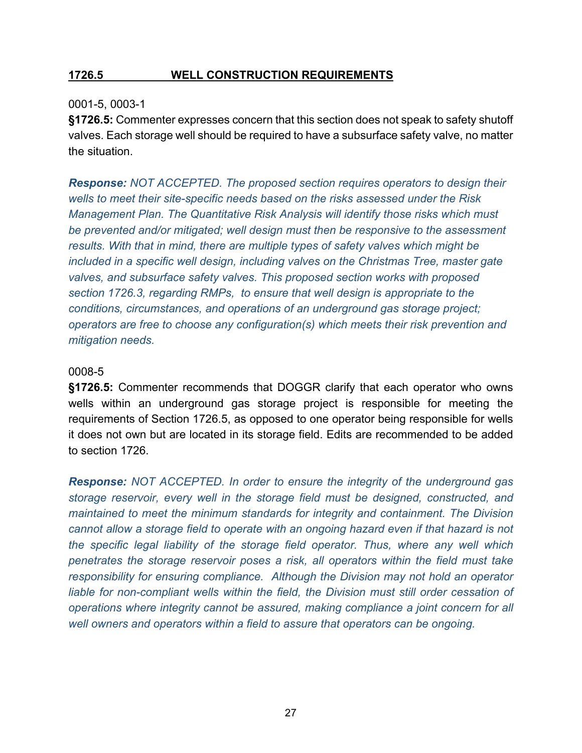## **1726.5 WELL CONSTRUCTION REQUIREMENTS**

#### 0001-5, 0003-1

**§1726.5:** Commenter expresses concern that this section does not speak to safety shutoff valves. Each storage well should be required to have a subsurface safety valve, no matter the situation.

*Response: NOT ACCEPTED. The proposed section requires operators to design their wells to meet their site-specific needs based on the risks assessed under the Risk Management Plan. The Quantitative Risk Analysis will identify those risks which must be prevented and/or mitigated; well design must then be responsive to the assessment results. With that in mind, there are multiple types of safety valves which might be included in a specific well design, including valves on the Christmas Tree, master gate valves, and subsurface safety valves. This proposed section works with proposed section 1726.3, regarding RMPs, to ensure that well design is appropriate to the conditions, circumstances, and operations of an underground gas storage project; operators are free to choose any configuration(s) which meets their risk prevention and mitigation needs.*

#### 0008-5

**§1726.5:** Commenter recommends that DOGGR clarify that each operator who owns wells within an underground gas storage project is responsible for meeting the requirements of Section 1726.5, as opposed to one operator being responsible for wells it does not own but are located in its storage field. Edits are recommended to be added to section 1726.

*Response: NOT ACCEPTED. In order to ensure the integrity of the underground gas storage reservoir, every well in the storage field must be designed, constructed, and maintained to meet the minimum standards for integrity and containment. The Division cannot allow a storage field to operate with an ongoing hazard even if that hazard is not the specific legal liability of the storage field operator. Thus, where any well which penetrates the storage reservoir poses a risk, all operators within the field must take responsibility for ensuring compliance. Although the Division may not hold an operator*  liable for non-compliant wells within the field, the Division must still order cessation of *operations where integrity cannot be assured, making compliance a joint concern for all well owners and operators within a field to assure that operators can be ongoing.*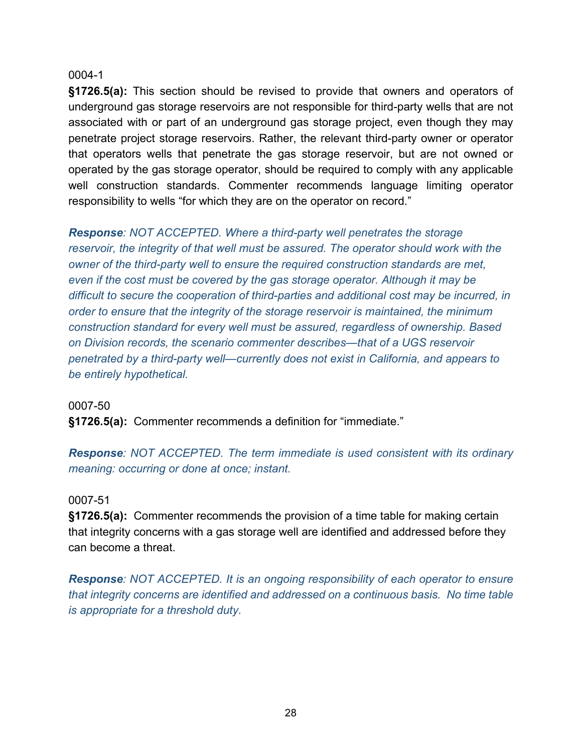**§1726.5(a):** This section should be revised to provide that owners and operators of underground gas storage reservoirs are not responsible for third-party wells that are not associated with or part of an underground gas storage project, even though they may penetrate project storage reservoirs. Rather, the relevant third-party owner or operator that operators wells that penetrate the gas storage reservoir, but are not owned or operated by the gas storage operator, should be required to comply with any applicable well construction standards. Commenter recommends language limiting operator responsibility to wells "for which they are on the operator on record."

*Response: NOT ACCEPTED. Where a third-party well penetrates the storage reservoir, the integrity of that well must be assured. The operator should work with the owner of the third-party well to ensure the required construction standards are met, even if the cost must be covered by the gas storage operator. Although it may be difficult to secure the cooperation of third-parties and additional cost may be incurred, in order to ensure that the integrity of the storage reservoir is maintained, the minimum construction standard for every well must be assured, regardless of ownership. Based on Division records, the scenario commenter describes—that of a UGS reservoir penetrated by a third-party well—currently does not exist in California, and appears to be entirely hypothetical.*

#### 0007-50

**§1726.5(a):** Commenter recommends a definition for "immediate."

*Response: NOT ACCEPTED. The term immediate is used consistent with its ordinary meaning: occurring or done at once; instant.*

#### 0007-51

**§1726.5(a):** Commenter recommends the provision of a time table for making certain that integrity concerns with a gas storage well are identified and addressed before they can become a threat.

*Response: NOT ACCEPTED. It is an ongoing responsibility of each operator to ensure that integrity concerns are identified and addressed on a continuous basis. No time table is appropriate for a threshold duty.*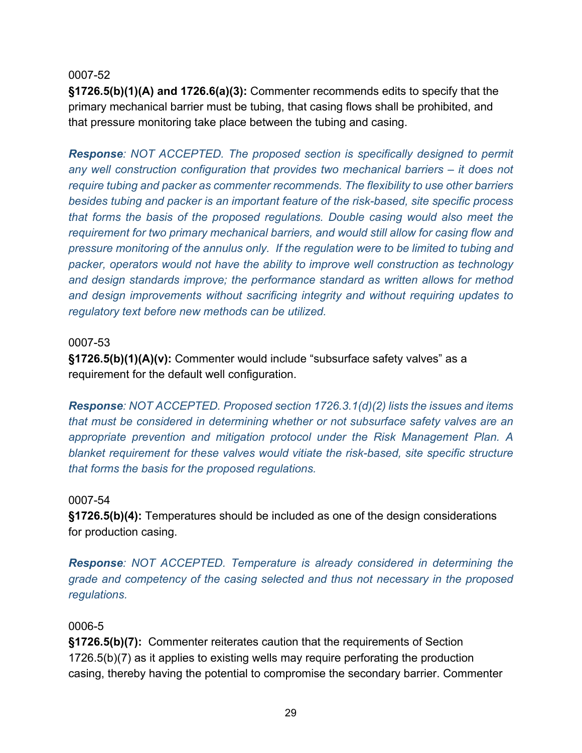**§1726.5(b)(1)(A) and 1726.6(a)(3):** Commenter recommends edits to specify that the primary mechanical barrier must be tubing, that casing flows shall be prohibited, and that pressure monitoring take place between the tubing and casing.

*Response: NOT ACCEPTED. The proposed section is specifically designed to permit any well construction configuration that provides two mechanical barriers – it does not require tubing and packer as commenter recommends. The flexibility to use other barriers besides tubing and packer is an important feature of the risk-based, site specific process that forms the basis of the proposed regulations. Double casing would also meet the requirement for two primary mechanical barriers, and would still allow for casing flow and pressure monitoring of the annulus only. If the regulation were to be limited to tubing and packer, operators would not have the ability to improve well construction as technology and design standards improve; the performance standard as written allows for method and design improvements without sacrificing integrity and without requiring updates to regulatory text before new methods can be utilized.*

#### 0007-53

**§1726.5(b)(1)(A)(v):** Commenter would include "subsurface safety valves" as a requirement for the default well configuration.

*Response: NOT ACCEPTED. Proposed section 1726.3.1(d)(2) lists the issues and items that must be considered in determining whether or not subsurface safety valves are an appropriate prevention and mitigation protocol under the Risk Management Plan. A blanket requirement for these valves would vitiate the risk-based, site specific structure that forms the basis for the proposed regulations.*

#### 0007-54

**§1726.5(b)(4):** Temperatures should be included as one of the design considerations for production casing.

*Response: NOT ACCEPTED. Temperature is already considered in determining the grade and competency of the casing selected and thus not necessary in the proposed regulations.*

#### 0006-5

**§1726.5(b)(7):** Commenter reiterates caution that the requirements of Section 1726.5(b)(7) as it applies to existing wells may require perforating the production casing, thereby having the potential to compromise the secondary barrier. Commenter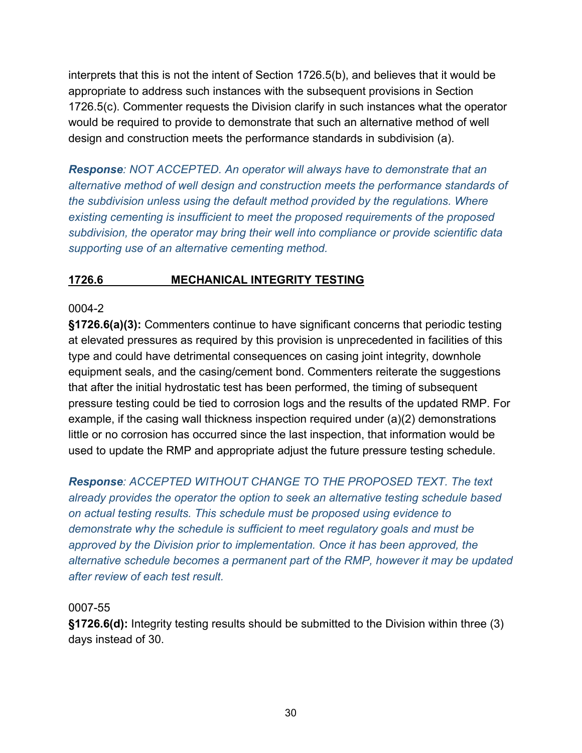interprets that this is not the intent of Section 1726.5(b), and believes that it would be appropriate to address such instances with the subsequent provisions in Section 1726.5(c). Commenter requests the Division clarify in such instances what the operator would be required to provide to demonstrate that such an alternative method of well design and construction meets the performance standards in subdivision (a).

*Response: NOT ACCEPTED. An operator will always have to demonstrate that an alternative method of well design and construction meets the performance standards of the subdivision unless using the default method provided by the regulations. Where existing cementing is insufficient to meet the proposed requirements of the proposed subdivision, the operator may bring their well into compliance or provide scientific data supporting use of an alternative cementing method.*

## **1726.6 MECHANICAL INTEGRITY TESTING**

## 0004-2

**§1726.6(a)(3):** Commenters continue to have significant concerns that periodic testing at elevated pressures as required by this provision is unprecedented in facilities of this type and could have detrimental consequences on casing joint integrity, downhole equipment seals, and the casing/cement bond. Commenters reiterate the suggestions that after the initial hydrostatic test has been performed, the timing of subsequent pressure testing could be tied to corrosion logs and the results of the updated RMP. For example, if the casing wall thickness inspection required under (a)(2) demonstrations little or no corrosion has occurred since the last inspection, that information would be used to update the RMP and appropriate adjust the future pressure testing schedule.

*Response: ACCEPTED WITHOUT CHANGE TO THE PROPOSED TEXT. The text already provides the operator the option to seek an alternative testing schedule based on actual testing results. This schedule must be proposed using evidence to demonstrate why the schedule is sufficient to meet regulatory goals and must be approved by the Division prior to implementation. Once it has been approved, the alternative schedule becomes a permanent part of the RMP, however it may be updated after review of each test result.*

## 0007-55

**§1726.6(d):** Integrity testing results should be submitted to the Division within three (3) days instead of 30.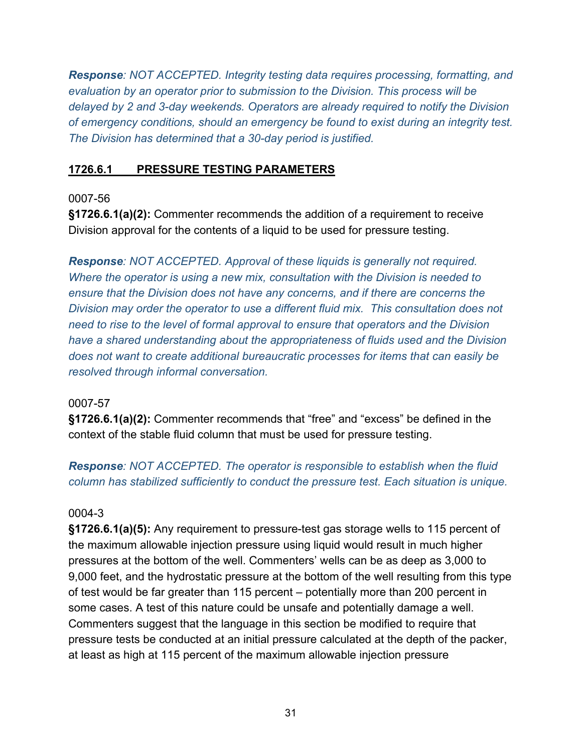*Response: NOT ACCEPTED. Integrity testing data requires processing, formatting, and evaluation by an operator prior to submission to the Division. This process will be delayed by 2 and 3-day weekends. Operators are already required to notify the Division of emergency conditions, should an emergency be found to exist during an integrity test. The Division has determined that a 30-day period is justified.*

## **1726.6.1 PRESSURE TESTING PARAMETERS**

## 0007-56

**§1726.6.1(a)(2):** Commenter recommends the addition of a requirement to receive Division approval for the contents of a liquid to be used for pressure testing.

*Response: NOT ACCEPTED. Approval of these liquids is generally not required. Where the operator is using a new mix, consultation with the Division is needed to ensure that the Division does not have any concerns, and if there are concerns the Division may order the operator to use a different fluid mix. This consultation does not need to rise to the level of formal approval to ensure that operators and the Division have a shared understanding about the appropriateness of fluids used and the Division does not want to create additional bureaucratic processes for items that can easily be resolved through informal conversation.*

## 0007-57

**§1726.6.1(a)(2):** Commenter recommends that "free" and "excess" be defined in the context of the stable fluid column that must be used for pressure testing.

## *Response: NOT ACCEPTED. The operator is responsible to establish when the fluid column has stabilized sufficiently to conduct the pressure test. Each situation is unique.*

## 0004-3

**§1726.6.1(a)(5):** Any requirement to pressure-test gas storage wells to 115 percent of the maximum allowable injection pressure using liquid would result in much higher pressures at the bottom of the well. Commenters' wells can be as deep as 3,000 to 9,000 feet, and the hydrostatic pressure at the bottom of the well resulting from this type of test would be far greater than 115 percent – potentially more than 200 percent in some cases. A test of this nature could be unsafe and potentially damage a well. Commenters suggest that the language in this section be modified to require that pressure tests be conducted at an initial pressure calculated at the depth of the packer, at least as high at 115 percent of the maximum allowable injection pressure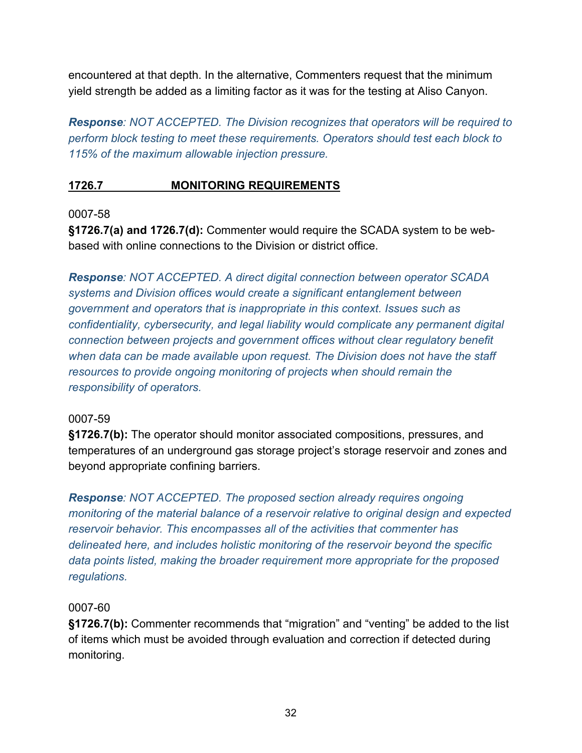encountered at that depth. In the alternative, Commenters request that the minimum yield strength be added as a limiting factor as it was for the testing at Aliso Canyon.

*Response: NOT ACCEPTED. The Division recognizes that operators will be required to perform block testing to meet these requirements. Operators should test each block to 115% of the maximum allowable injection pressure.*

## **1726.7 MONITORING REQUIREMENTS**

## 0007-58

**§1726.7(a) and 1726.7(d):** Commenter would require the SCADA system to be webbased with online connections to the Division or district office.

*Response: NOT ACCEPTED. A direct digital connection between operator SCADA systems and Division offices would create a significant entanglement between government and operators that is inappropriate in this context. Issues such as confidentiality, cybersecurity, and legal liability would complicate any permanent digital connection between projects and government offices without clear regulatory benefit when data can be made available upon request. The Division does not have the staff resources to provide ongoing monitoring of projects when should remain the responsibility of operators.*

## 0007-59

**§1726.7(b):** The operator should monitor associated compositions, pressures, and temperatures of an underground gas storage project's storage reservoir and zones and beyond appropriate confining barriers.

*Response: NOT ACCEPTED. The proposed section already requires ongoing monitoring of the material balance of a reservoir relative to original design and expected reservoir behavior. This encompasses all of the activities that commenter has delineated here, and includes holistic monitoring of the reservoir beyond the specific data points listed, making the broader requirement more appropriate for the proposed regulations.* 

## 0007-60

**§1726.7(b):** Commenter recommends that "migration" and "venting" be added to the list of items which must be avoided through evaluation and correction if detected during monitoring.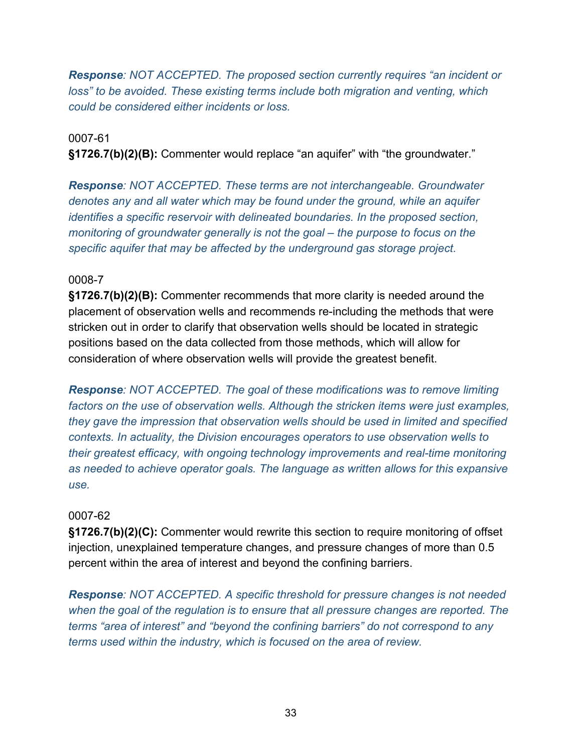*Response: NOT ACCEPTED. The proposed section currently requires "an incident or loss*" to be avoided. These existing terms include both migration and venting, which *could be considered either incidents or loss.*

#### 0007-61

**§1726.7(b)(2)(B):** Commenter would replace "an aquifer" with "the groundwater."

*Response: NOT ACCEPTED. These terms are not interchangeable. Groundwater denotes any and all water which may be found under the ground, while an aquifer identifies a specific reservoir with delineated boundaries. In the proposed section, monitoring of groundwater generally is not the goal – the purpose to focus on the specific aquifer that may be affected by the underground gas storage project.*

## 0008-7

**§1726.7(b)(2)(B):** Commenter recommends that more clarity is needed around the placement of observation wells and recommends re-including the methods that were stricken out in order to clarify that observation wells should be located in strategic positions based on the data collected from those methods, which will allow for consideration of where observation wells will provide the greatest benefit.

*Response: NOT ACCEPTED. The goal of these modifications was to remove limiting factors on the use of observation wells. Although the stricken items were just examples, they gave the impression that observation wells should be used in limited and specified contexts. In actuality, the Division encourages operators to use observation wells to their greatest efficacy, with ongoing technology improvements and real-time monitoring as needed to achieve operator goals. The language as written allows for this expansive use.*

#### 0007-62

**§1726.7(b)(2)(C):** Commenter would rewrite this section to require monitoring of offset injection, unexplained temperature changes, and pressure changes of more than 0.5 percent within the area of interest and beyond the confining barriers.

*Response: NOT ACCEPTED. A specific threshold for pressure changes is not needed when the goal of the regulation is to ensure that all pressure changes are reported. The terms "area of interest" and "beyond the confining barriers" do not correspond to any terms used within the industry, which is focused on the area of review.*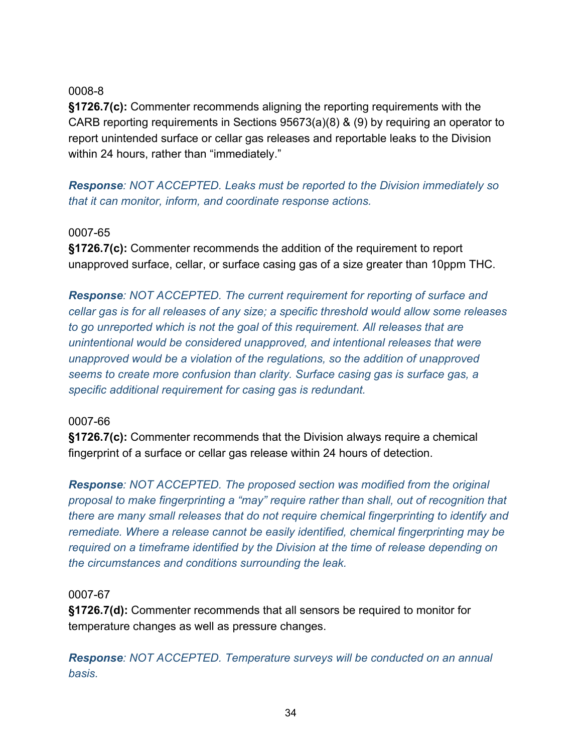**§1726.7(c):** Commenter recommends aligning the reporting requirements with the CARB reporting requirements in Sections 95673(a)(8) & (9) by requiring an operator to report unintended surface or cellar gas releases and reportable leaks to the Division within 24 hours, rather than "immediately."

*Response: NOT ACCEPTED. Leaks must be reported to the Division immediately so that it can monitor, inform, and coordinate response actions.* 

#### 0007-65

**§1726.7(c):** Commenter recommends the addition of the requirement to report unapproved surface, cellar, or surface casing gas of a size greater than 10ppm THC.

*Response: NOT ACCEPTED. The current requirement for reporting of surface and cellar gas is for all releases of any size; a specific threshold would allow some releases to go unreported which is not the goal of this requirement. All releases that are unintentional would be considered unapproved, and intentional releases that were unapproved would be a violation of the regulations, so the addition of unapproved seems to create more confusion than clarity. Surface casing gas is surface gas, a specific additional requirement for casing gas is redundant.*

#### 0007-66

**§1726.7(c):** Commenter recommends that the Division always require a chemical fingerprint of a surface or cellar gas release within 24 hours of detection.

*Response: NOT ACCEPTED. The proposed section was modified from the original proposal to make fingerprinting a "may" require rather than shall, out of recognition that there are many small releases that do not require chemical fingerprinting to identify and remediate. Where a release cannot be easily identified, chemical fingerprinting may be required on a timeframe identified by the Division at the time of release depending on the circumstances and conditions surrounding the leak.*

## 0007-67

**§1726.7(d):** Commenter recommends that all sensors be required to monitor for temperature changes as well as pressure changes.

*Response: NOT ACCEPTED. Temperature surveys will be conducted on an annual basis.*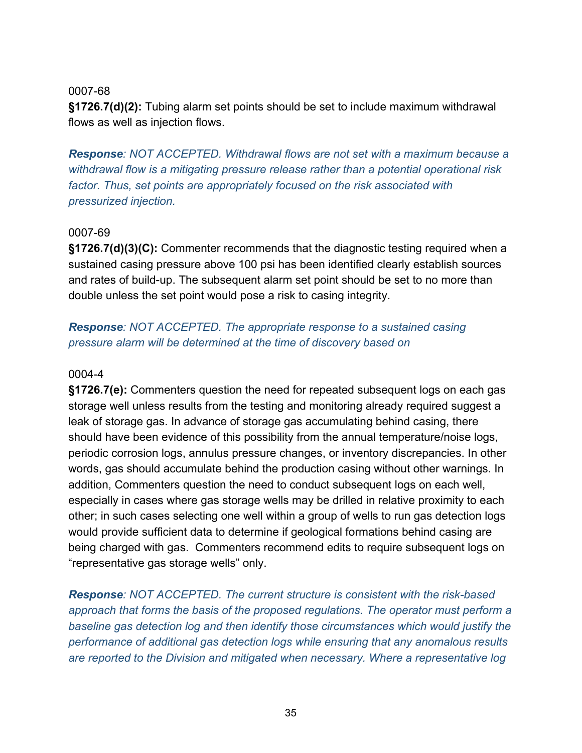**§1726.7(d)(2):** Tubing alarm set points should be set to include maximum withdrawal flows as well as injection flows.

*Response: NOT ACCEPTED. Withdrawal flows are not set with a maximum because a withdrawal flow is a mitigating pressure release rather than a potential operational risk factor. Thus, set points are appropriately focused on the risk associated with pressurized injection.*

## 0007-69

**§1726.7(d)(3)(C):** Commenter recommends that the diagnostic testing required when a sustained casing pressure above 100 psi has been identified clearly establish sources and rates of build-up. The subsequent alarm set point should be set to no more than double unless the set point would pose a risk to casing integrity.

## *Response: NOT ACCEPTED. The appropriate response to a sustained casing pressure alarm will be determined at the time of discovery based on*

## 0004-4

**§1726.7(e):** Commenters question the need for repeated subsequent logs on each gas storage well unless results from the testing and monitoring already required suggest a leak of storage gas. In advance of storage gas accumulating behind casing, there should have been evidence of this possibility from the annual temperature/noise logs, periodic corrosion logs, annulus pressure changes, or inventory discrepancies. In other words, gas should accumulate behind the production casing without other warnings. In addition, Commenters question the need to conduct subsequent logs on each well, especially in cases where gas storage wells may be drilled in relative proximity to each other; in such cases selecting one well within a group of wells to run gas detection logs would provide sufficient data to determine if geological formations behind casing are being charged with gas. Commenters recommend edits to require subsequent logs on "representative gas storage wells" only.

*Response: NOT ACCEPTED. The current structure is consistent with the risk-based approach that forms the basis of the proposed regulations. The operator must perform a baseline gas detection log and then identify those circumstances which would justify the performance of additional gas detection logs while ensuring that any anomalous results are reported to the Division and mitigated when necessary. Where a representative log*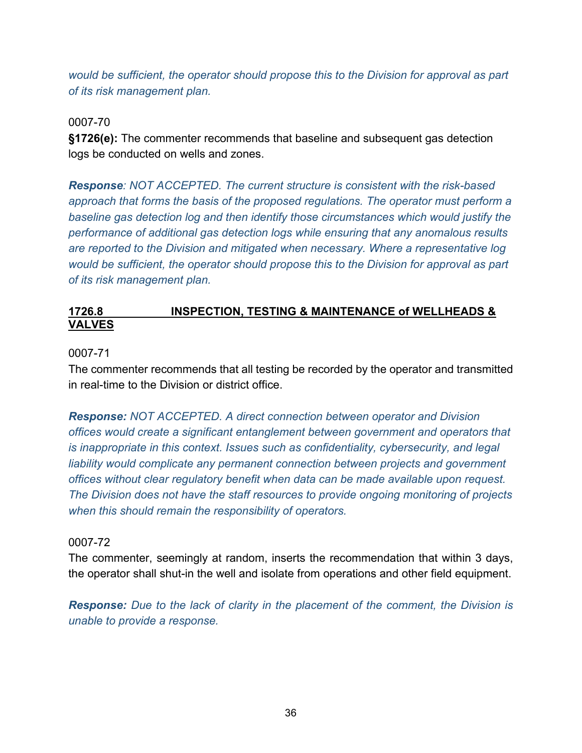*would be sufficient, the operator should propose this to the Division for approval as part of its risk management plan.*

0007-70

**§1726(e):** The commenter recommends that baseline and subsequent gas detection logs be conducted on wells and zones.

*Response: NOT ACCEPTED. The current structure is consistent with the risk-based approach that forms the basis of the proposed regulations. The operator must perform a baseline gas detection log and then identify those circumstances which would justify the performance of additional gas detection logs while ensuring that any anomalous results are reported to the Division and mitigated when necessary. Where a representative log would be sufficient, the operator should propose this to the Division for approval as part of its risk management plan.*

## **1726.8 INSPECTION, TESTING & MAINTENANCE of WELLHEADS & VALVES**

#### 0007-71

The commenter recommends that all testing be recorded by the operator and transmitted in real-time to the Division or district office.

*Response: NOT ACCEPTED. A direct connection between operator and Division offices would create a significant entanglement between government and operators that is inappropriate in this context. Issues such as confidentiality, cybersecurity, and legal*  liability would complicate any permanent connection between projects and government *offices without clear regulatory benefit when data can be made available upon request. The Division does not have the staff resources to provide ongoing monitoring of projects when this should remain the responsibility of operators.* 

#### 0007-72

The commenter, seemingly at random, inserts the recommendation that within 3 days, the operator shall shut-in the well and isolate from operations and other field equipment.

*Response: Due to the lack of clarity in the placement of the comment, the Division is unable to provide a response.*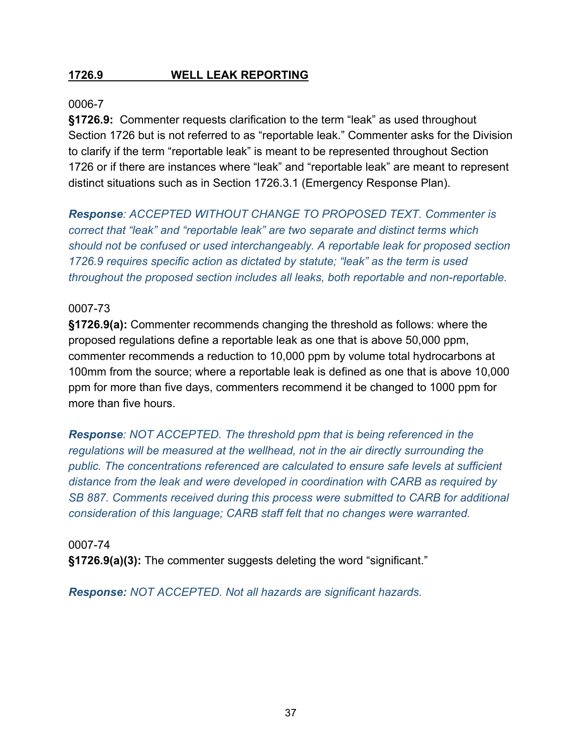## **1726.9 WELL LEAK REPORTING**

#### 0006-7

**§1726.9:** Commenter requests clarification to the term "leak" as used throughout Section 1726 but is not referred to as "reportable leak." Commenter asks for the Division to clarify if the term "reportable leak" is meant to be represented throughout Section 1726 or if there are instances where "leak" and "reportable leak" are meant to represent distinct situations such as in Section 1726.3.1 (Emergency Response Plan).

*Response: ACCEPTED WITHOUT CHANGE TO PROPOSED TEXT. Commenter is correct that "leak" and "reportable leak" are two separate and distinct terms which should not be confused or used interchangeably. A reportable leak for proposed section 1726.9 requires specific action as dictated by statute; "leak" as the term is used throughout the proposed section includes all leaks, both reportable and non-reportable.* 

## 0007-73

**§1726.9(a):** Commenter recommends changing the threshold as follows: where the proposed regulations define a reportable leak as one that is above 50,000 ppm, commenter recommends a reduction to 10,000 ppm by volume total hydrocarbons at 100mm from the source; where a reportable leak is defined as one that is above 10,000 ppm for more than five days, commenters recommend it be changed to 1000 ppm for more than five hours.

*Response: NOT ACCEPTED. The threshold ppm that is being referenced in the regulations will be measured at the wellhead, not in the air directly surrounding the public. The concentrations referenced are calculated to ensure safe levels at sufficient distance from the leak and were developed in coordination with CARB as required by SB 887. Comments received during this process were submitted to CARB for additional consideration of this language; CARB staff felt that no changes were warranted.*

0007-74 **§1726.9(a)(3):** The commenter suggests deleting the word "significant."

*Response: NOT ACCEPTED. Not all hazards are significant hazards.*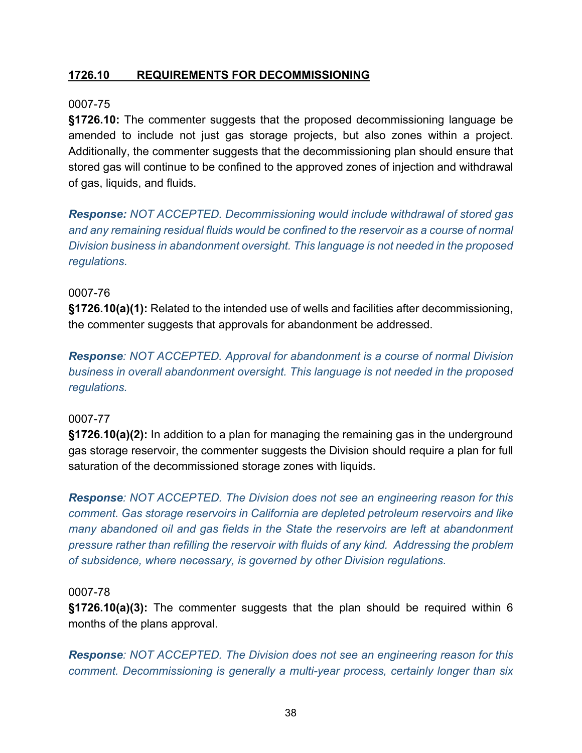## **1726.10 REQUIREMENTS FOR DECOMMISSIONING**

## 0007-75

**§1726.10:** The commenter suggests that the proposed decommissioning language be amended to include not just gas storage projects, but also zones within a project. Additionally, the commenter suggests that the decommissioning plan should ensure that stored gas will continue to be confined to the approved zones of injection and withdrawal of gas, liquids, and fluids.

*Response: NOT ACCEPTED. Decommissioning would include withdrawal of stored gas and any remaining residual fluids would be confined to the reservoir as a course of normal Division business in abandonment oversight. This language is not needed in the proposed regulations.*

#### 0007-76

**§1726.10(a)(1):** Related to the intended use of wells and facilities after decommissioning, the commenter suggests that approvals for abandonment be addressed.

*Response: NOT ACCEPTED. Approval for abandonment is a course of normal Division business in overall abandonment oversight. This language is not needed in the proposed regulations.*

#### 0007-77

**§1726.10(a)(2):** In addition to a plan for managing the remaining gas in the underground gas storage reservoir, the commenter suggests the Division should require a plan for full saturation of the decommissioned storage zones with liquids.

*Response: NOT ACCEPTED. The Division does not see an engineering reason for this comment. Gas storage reservoirs in California are depleted petroleum reservoirs and like many abandoned oil and gas fields in the State the reservoirs are left at abandonment pressure rather than refilling the reservoir with fluids of any kind. Addressing the problem of subsidence, where necessary, is governed by other Division regulations.*

#### 0007-78

**§1726.10(a)(3):** The commenter suggests that the plan should be required within 6 months of the plans approval.

*Response: NOT ACCEPTED. The Division does not see an engineering reason for this comment. Decommissioning is generally a multi-year process, certainly longer than six*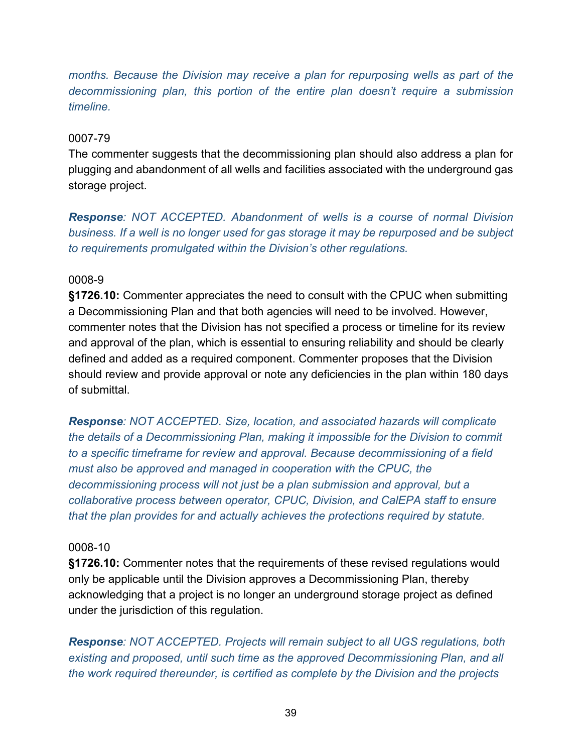*months. Because the Division may receive a plan for repurposing wells as part of the decommissioning plan, this portion of the entire plan doesn't require a submission timeline.*

## 0007-79

The commenter suggests that the decommissioning plan should also address a plan for plugging and abandonment of all wells and facilities associated with the underground gas storage project.

*Response: NOT ACCEPTED. Abandonment of wells is a course of normal Division business. If a well is no longer used for gas storage it may be repurposed and be subject to requirements promulgated within the Division's other regulations.*

#### 0008-9

**§1726.10:** Commenter appreciates the need to consult with the CPUC when submitting a Decommissioning Plan and that both agencies will need to be involved. However, commenter notes that the Division has not specified a process or timeline for its review and approval of the plan, which is essential to ensuring reliability and should be clearly defined and added as a required component. Commenter proposes that the Division should review and provide approval or note any deficiencies in the plan within 180 days of submittal.

*Response: NOT ACCEPTED. Size, location, and associated hazards will complicate the details of a Decommissioning Plan, making it impossible for the Division to commit to a specific timeframe for review and approval. Because decommissioning of a field must also be approved and managed in cooperation with the CPUC, the decommissioning process will not just be a plan submission and approval, but a collaborative process between operator, CPUC, Division, and CalEPA staff to ensure that the plan provides for and actually achieves the protections required by statute.*

#### 0008-10

**§1726.10:** Commenter notes that the requirements of these revised regulations would only be applicable until the Division approves a Decommissioning Plan, thereby acknowledging that a project is no longer an underground storage project as defined under the jurisdiction of this regulation.

*Response: NOT ACCEPTED. Projects will remain subject to all UGS regulations, both existing and proposed, until such time as the approved Decommissioning Plan, and all the work required thereunder, is certified as complete by the Division and the projects*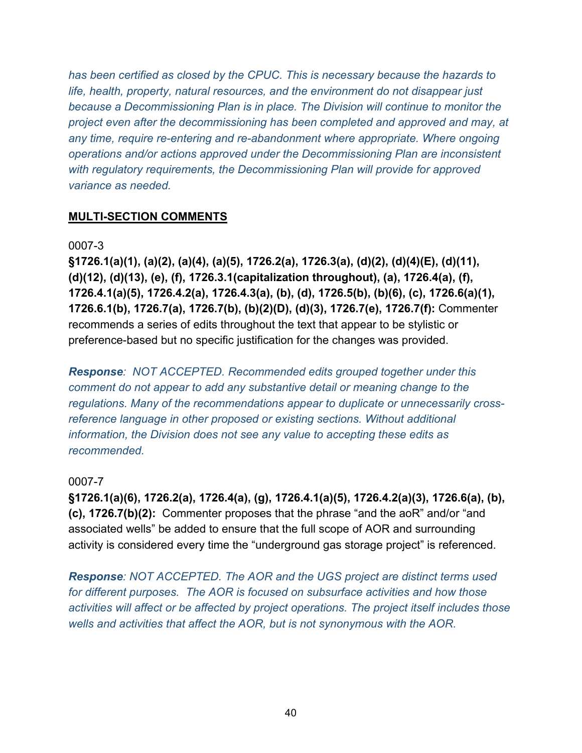*has been certified as closed by the CPUC. This is necessary because the hazards to life, health, property, natural resources, and the environment do not disappear just because a Decommissioning Plan is in place. The Division will continue to monitor the project even after the decommissioning has been completed and approved and may, at any time, require re-entering and re-abandonment where appropriate. Where ongoing operations and/or actions approved under the Decommissioning Plan are inconsistent with regulatory requirements, the Decommissioning Plan will provide for approved variance as needed.*

## **MULTI-SECTION COMMENTS**

#### 0007-3

**§1726.1(a)(1), (a)(2), (a)(4), (a)(5), 1726.2(a), 1726.3(a), (d)(2), (d)(4)(E), (d)(11), (d)(12), (d)(13), (e), (f), 1726.3.1(capitalization throughout), (a), 1726.4(a), (f), 1726.4.1(a)(5), 1726.4.2(a), 1726.4.3(a), (b), (d), 1726.5(b), (b)(6), (c), 1726.6(a)(1), 1726.6.1(b), 1726.7(a), 1726.7(b), (b)(2)(D), (d)(3), 1726.7(e), 1726.7(f):** Commenter recommends a series of edits throughout the text that appear to be stylistic or preference-based but no specific justification for the changes was provided.

*Response: NOT ACCEPTED. Recommended edits grouped together under this comment do not appear to add any substantive detail or meaning change to the regulations. Many of the recommendations appear to duplicate or unnecessarily crossreference language in other proposed or existing sections. Without additional information, the Division does not see any value to accepting these edits as recommended.*

## 0007-7

**§1726.1(a)(6), 1726.2(a), 1726.4(a), (g), 1726.4.1(a)(5), 1726.4.2(a)(3), 1726.6(a), (b), (c), 1726.7(b)(2):** Commenter proposes that the phrase "and the aoR" and/or "and associated wells" be added to ensure that the full scope of AOR and surrounding activity is considered every time the "underground gas storage project" is referenced.

*Response: NOT ACCEPTED. The AOR and the UGS project are distinct terms used for different purposes. The AOR is focused on subsurface activities and how those activities will affect or be affected by project operations. The project itself includes those wells and activities that affect the AOR, but is not synonymous with the AOR.*